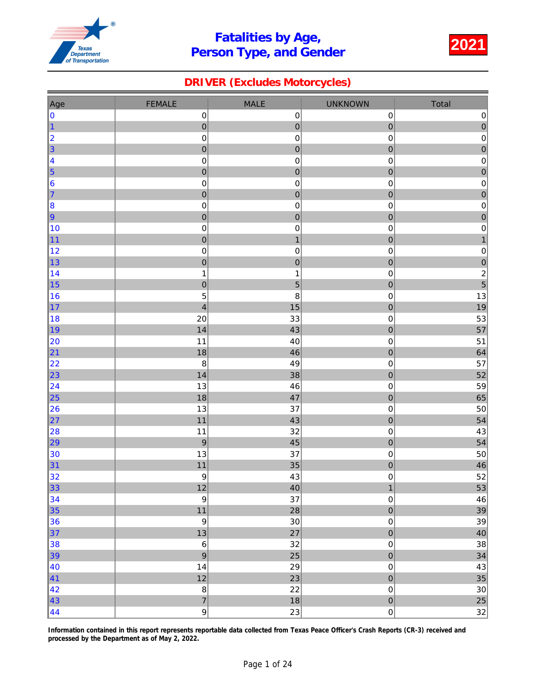

### DRIVER (Excludes Motorcycles)

| Age              | <b>FEMALE</b>               | <b>MALE</b>                   | <b>UNKNOWN</b>                | Total                        |
|------------------|-----------------------------|-------------------------------|-------------------------------|------------------------------|
| 0                | $\pmb{0}$                   | $\pmb{0}$                     | $\pmb{0}$                     | $\pmb{0}$                    |
| $\vert$ 1        | $\overline{0}$              | $\overline{0}$                | $\overline{0}$                | $\overline{0}$               |
| 2                | $\pmb{0}$                   | $\mathbf 0$                   | 0                             | $\pmb{0}$                    |
| $\vert$ 3        | $\mathbf{0}$                | $\overline{0}$                | $\mathbf 0$                   | $\overline{0}$               |
| 4                | $\pmb{0}$                   | $\mathbf 0$                   | 0                             | $\pmb{0}$                    |
| $\vert$ 5        | $\pmb{0}$                   | ${\bf 0}$                     | $\bf{0}$                      | $\mathbf 0$                  |
| 6                | $\pmb{0}$                   | $\mathbf 0$                   | $\mathbf 0$                   | $\pmb{0}$                    |
| 7                | $\mathbf 0$                 | $\mathbf 0$                   | $\mathbf 0$                   | $\mathbf 0$                  |
| 8                | $\pmb{0}$                   | $\mathbf 0$                   | 0                             | $\pmb{0}$                    |
| 9                | $\mathbf 0$                 | $\mathbf 0$                   | $\mathbf 0$                   | $\mathbf 0$                  |
| 10               | $\pmb{0}$                   | $\pmb{0}$                     | 0                             | $\mathbf 0$                  |
| 11               | $\overline{0}$              | $\mathbf{1}$                  | $\overline{0}$                | $\mathbf{1}$                 |
| 12               | $\pmb{0}$                   | $\mathbf 0$                   | $\mathbf 0$                   | $\pmb{0}$                    |
| 13               | $\mathbf{0}$                | $\overline{0}$                | $\mathbf{0}$                  | $\mathbf 0$                  |
| 14<br> 15        | $\mathbf 1$<br>$\mathbf{0}$ | $\mathbf 1$<br>$\overline{5}$ | 0<br>$\mathbf{0}$             | $\overline{\mathbf{c}}$<br>5 |
| 16               | 5                           | 8                             | $\mathbf 0$                   | 13                           |
| 17               | $\overline{\mathbf{4}}$     | 15                            | $\mathbf 0$                   | 19                           |
| 18               | 20                          | 33                            | 0                             | 53                           |
| ∥19              | 14                          | 43                            | $\mathbf 0$                   | 57                           |
| 20               | 11                          | 40                            | 0                             | 51                           |
| 21               | 18                          | 46                            | $\overline{0}$                | 64                           |
| 22               | $\bf 8$                     | 49                            | 0                             | 57                           |
| 23               | 14                          | 38                            | $\mathbf{0}$                  | 52                           |
| 24               | 13                          | 46                            | 0                             | 59                           |
| $\vert$ 25       | 18                          | 47                            | $\bf{0}$                      | 65                           |
| 26               | 13                          | 37                            | $\mathbf 0$                   | 50                           |
| 27               | 11                          | 43                            | $\mathbf 0$                   | 54                           |
| 28               | 11                          | 32                            | 0                             | 43                           |
| 29               | 9                           | 45                            | $\mathbf 0$                   | 54                           |
| 30               | 13                          | 37                            | $\mathbf 0$                   | 50                           |
| 31               | 11                          | 35                            | $\overline{0}$                | 46                           |
| 32               | $\boldsymbol{9}$            | 43                            | $\mathsf 0$                   | 52                           |
| $\vert$ 33       | $12$                        | 40<br>37                      | $\mathbf{1}$                  | 53                           |
| 34<br>35         | $\boldsymbol{9}$<br>$11$    | 28                            | $\mathbf 0$<br>$\overline{0}$ | 46                           |
| 36               | $\boldsymbol{9}$            | 30                            | $\mathsf 0$                   | 39<br>39                     |
| 37               | 13                          | 27                            | $\overline{0}$                | 40                           |
| 38               | $\,6$                       | 32                            | $\mathbf 0$                   | 38                           |
| $\vert$ 39       | $\mathsf g$                 | 25                            | $\overline{0}$                | 34                           |
| $\vert 40 \vert$ | 14                          | 29                            | $\mathbf 0$                   | $43\,$                       |
| $\vert 41 \vert$ | 12                          | 23                            | $\overline{0}$                | 35                           |
| 42               | $\bf 8$                     | 22                            | $\mathbf 0$                   | $30\,$                       |
| 43               | $\overline{7}$              | 18                            | $\mathbf{0}$                  | 25                           |
| $\vert 44$       | $\mathsf g$                 | 23                            | $\mathsf{O}\xspace$           | 32                           |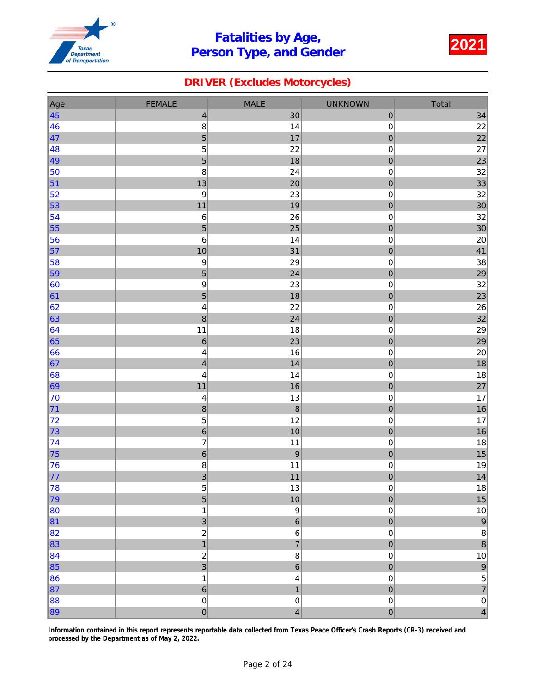

### DRIVER (Excludes Motorcycles)

| Total                                        |
|----------------------------------------------|
| 34                                           |
| 22                                           |
| 22                                           |
| 27                                           |
| 23                                           |
| 32                                           |
| 33                                           |
| 32                                           |
| 30                                           |
| 32                                           |
| 30                                           |
| 20                                           |
| 41                                           |
| 38                                           |
| 29                                           |
| 32                                           |
| 23                                           |
| 26                                           |
| 32                                           |
| 29                                           |
| 29                                           |
| 20                                           |
| 18                                           |
| 18                                           |
| 27                                           |
| 17                                           |
| 16                                           |
| $17\,$                                       |
| 16                                           |
| 18                                           |
| 15                                           |
| 19                                           |
| 14                                           |
| $18\,$                                       |
| 15                                           |
| $10\,$                                       |
| $\overline{9}$                               |
| $\bf 8$<br>$\overline{8}$                    |
|                                              |
| $10\,$                                       |
| $\begin{array}{c}\n9 \\ 5 \\ 7\n\end{array}$ |
|                                              |
| $\overline{\mathbf{0}}$                      |
| $\overline{4}$                               |
|                                              |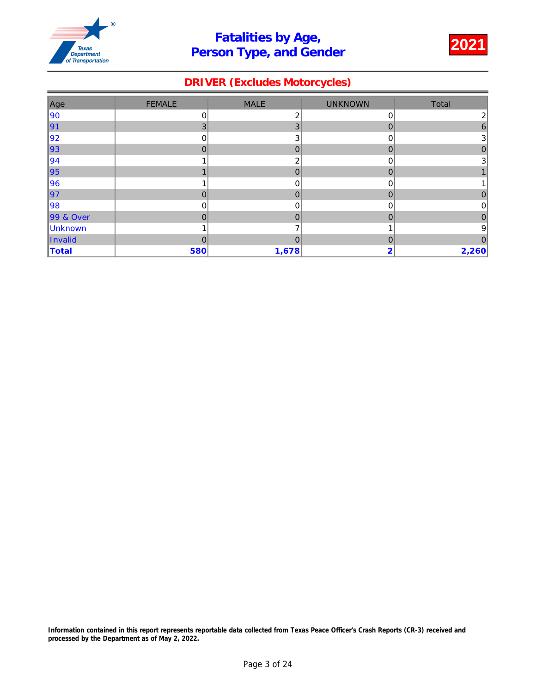

### DRIVER (Excludes Motorcycles)

| Age               | <b>FEMALE</b> | <b>MALE</b>    | <b>UNKNOWN</b> | Total          |
|-------------------|---------------|----------------|----------------|----------------|
| 90                | 0             | 2              | 0              | $\mathbf{2}$   |
| $\vert$ 91        | 3             | 3              | $\mathbf 0$    | 6              |
| $\vert$ 92        | 0             | 3              | 0              | 3 <sup>2</sup> |
| ∥93               | $\Omega$      | $\mathbf 0$    | $\mathbf 0$    | 0              |
| $\vert$ 94        |               | 2              | 0              | 3              |
| ∥95               |               | $\overline{0}$ | 0              |                |
| 96                |               | $\mathbf 0$    | 0              |                |
| 97                | $\mathbf 0$   | 0              | 0              | 0              |
| $\left 98\right $ | 0             | $\mathbf 0$    | 0              | 0              |
| 99 & Over         | $\mathbf 0$   | $\mathbf 0$    | 0              | 0              |
| Unknown           |               |                |                | 9              |
| Invalid           | 0             | 0              | 0              |                |
| Total             | 580           | 1,678          | 2              | 2,260          |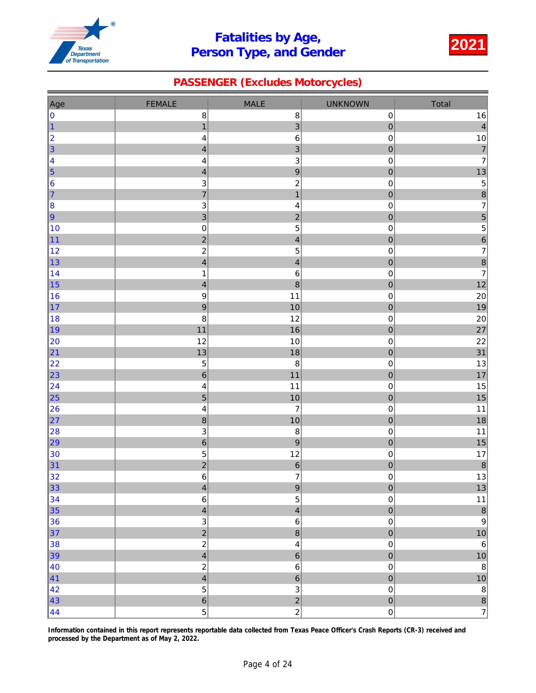

### PASSENGER (Excludes Motorcycles)

| <b>FEMALE</b><br><b>MALE</b><br><b>UNKNOWN</b><br>Total<br>Age<br>$16\,$<br>0<br>$\bf8$<br>$\bf 8$<br>$\pmb{0}$<br>$\overline{3}$<br>$\overline{0}$<br>$\vert 4 \vert$<br>$\mathbf{1}$<br>$\vert$ 1<br>$\,6\,$<br> 2 <br>$\mathbf 0$<br>$10\,$<br>$\overline{\mathcal{L}}$<br>$\vert$ 3<br>$\overline{3}$<br>$\overline{7}$<br>$\mathbf{0}$<br>$\overline{\mathcal{L}}$<br>$\mathsf 3$<br>$\overline{7}$<br>4<br>$\mathsf 0$<br>$\overline{\mathbf{4}}$<br>$\boldsymbol{9}$<br>$\vert$ 5<br>13<br>$\bf{0}$<br>$\overline{\mathcal{L}}$<br>$\overline{\phantom{a}}$<br>$\overline{c}$<br>$\vert 6 \vert$<br>$\mathsf 3$<br>$\mathbf 0$<br>$\begin{array}{c} 8 \\ 7 \end{array}$<br>$\overline{7}$<br>$\mathbf{1}$<br>$\mathbf 0$<br>7<br>$\mathsf 3$<br>$\overline{\mathbf{4}}$<br>$\mathbf 0$<br>8<br>$\overline{3}$<br>5<br>$\overline{c}$<br>$\mathbf 0$<br>9<br>$\overline{5}$<br>5<br>10<br>$\pmb{0}$<br>$\pmb{0}$<br>$\overline{6}$<br>$\overline{2}$<br>$\overline{\mathbf{4}}$<br>$\overline{0}$<br>11<br>$\overline{7}$<br>$\sqrt{5}$<br>$\overline{c}$<br>12<br>$\mathbf 0$<br>8<br>$\overline{\mathbf{4}}$<br>$\overline{\mathbf{4}}$<br>$\mathbf{0}$<br> 13 <br>$\overline{7}$<br>14<br>$\,6\,$<br>0<br>$\mathbf 1$<br>$\overline{8}$<br>$12$<br>$\mathbf{0}$<br> 15 <br>$\overline{\mathcal{L}}$<br>$20\,$<br>$\boldsymbol{9}$<br>11<br>$\mathbf 0$<br>16<br>$\overline{9}$<br>19<br>$\mathbf 0$<br> 17 <br>10<br>8<br>12<br>18<br>$\mathsf 0$<br>$20\,$<br>$\mathbf 0$<br>27<br>∥19<br>11<br>16<br>12<br>10<br>22<br>20<br>$\pmb{0}$<br>$\overline{0}$<br>31<br>13<br>18<br> 21<br>13<br>22<br>$\mathbf 5$<br>$\bf8$<br>$\mathbf 0$<br>$\overline{6}$<br>17<br>$\overline{0}$<br>$11$<br> 23 <br>15<br> 24 <br>11<br>0<br>$\overline{\mathbf{4}}$<br>$\overline{5}$<br>15<br>$\vert$ 25<br>10<br>$\bf{0}$<br>$\overline{7}$<br>11<br>26<br>$\mathbf 0$<br>$\overline{\mathcal{L}}$ |
|-------------------------------------------------------------------------------------------------------------------------------------------------------------------------------------------------------------------------------------------------------------------------------------------------------------------------------------------------------------------------------------------------------------------------------------------------------------------------------------------------------------------------------------------------------------------------------------------------------------------------------------------------------------------------------------------------------------------------------------------------------------------------------------------------------------------------------------------------------------------------------------------------------------------------------------------------------------------------------------------------------------------------------------------------------------------------------------------------------------------------------------------------------------------------------------------------------------------------------------------------------------------------------------------------------------------------------------------------------------------------------------------------------------------------------------------------------------------------------------------------------------------------------------------------------------------------------------------------------------------------------------------------------------------------------------------------------------------------------------------------------------------------------------------------------------------------------------------------------------------------------------------------|
|                                                                                                                                                                                                                                                                                                                                                                                                                                                                                                                                                                                                                                                                                                                                                                                                                                                                                                                                                                                                                                                                                                                                                                                                                                                                                                                                                                                                                                                                                                                                                                                                                                                                                                                                                                                                                                                                                                 |
|                                                                                                                                                                                                                                                                                                                                                                                                                                                                                                                                                                                                                                                                                                                                                                                                                                                                                                                                                                                                                                                                                                                                                                                                                                                                                                                                                                                                                                                                                                                                                                                                                                                                                                                                                                                                                                                                                                 |
|                                                                                                                                                                                                                                                                                                                                                                                                                                                                                                                                                                                                                                                                                                                                                                                                                                                                                                                                                                                                                                                                                                                                                                                                                                                                                                                                                                                                                                                                                                                                                                                                                                                                                                                                                                                                                                                                                                 |
|                                                                                                                                                                                                                                                                                                                                                                                                                                                                                                                                                                                                                                                                                                                                                                                                                                                                                                                                                                                                                                                                                                                                                                                                                                                                                                                                                                                                                                                                                                                                                                                                                                                                                                                                                                                                                                                                                                 |
|                                                                                                                                                                                                                                                                                                                                                                                                                                                                                                                                                                                                                                                                                                                                                                                                                                                                                                                                                                                                                                                                                                                                                                                                                                                                                                                                                                                                                                                                                                                                                                                                                                                                                                                                                                                                                                                                                                 |
|                                                                                                                                                                                                                                                                                                                                                                                                                                                                                                                                                                                                                                                                                                                                                                                                                                                                                                                                                                                                                                                                                                                                                                                                                                                                                                                                                                                                                                                                                                                                                                                                                                                                                                                                                                                                                                                                                                 |
|                                                                                                                                                                                                                                                                                                                                                                                                                                                                                                                                                                                                                                                                                                                                                                                                                                                                                                                                                                                                                                                                                                                                                                                                                                                                                                                                                                                                                                                                                                                                                                                                                                                                                                                                                                                                                                                                                                 |
|                                                                                                                                                                                                                                                                                                                                                                                                                                                                                                                                                                                                                                                                                                                                                                                                                                                                                                                                                                                                                                                                                                                                                                                                                                                                                                                                                                                                                                                                                                                                                                                                                                                                                                                                                                                                                                                                                                 |
|                                                                                                                                                                                                                                                                                                                                                                                                                                                                                                                                                                                                                                                                                                                                                                                                                                                                                                                                                                                                                                                                                                                                                                                                                                                                                                                                                                                                                                                                                                                                                                                                                                                                                                                                                                                                                                                                                                 |
|                                                                                                                                                                                                                                                                                                                                                                                                                                                                                                                                                                                                                                                                                                                                                                                                                                                                                                                                                                                                                                                                                                                                                                                                                                                                                                                                                                                                                                                                                                                                                                                                                                                                                                                                                                                                                                                                                                 |
|                                                                                                                                                                                                                                                                                                                                                                                                                                                                                                                                                                                                                                                                                                                                                                                                                                                                                                                                                                                                                                                                                                                                                                                                                                                                                                                                                                                                                                                                                                                                                                                                                                                                                                                                                                                                                                                                                                 |
|                                                                                                                                                                                                                                                                                                                                                                                                                                                                                                                                                                                                                                                                                                                                                                                                                                                                                                                                                                                                                                                                                                                                                                                                                                                                                                                                                                                                                                                                                                                                                                                                                                                                                                                                                                                                                                                                                                 |
|                                                                                                                                                                                                                                                                                                                                                                                                                                                                                                                                                                                                                                                                                                                                                                                                                                                                                                                                                                                                                                                                                                                                                                                                                                                                                                                                                                                                                                                                                                                                                                                                                                                                                                                                                                                                                                                                                                 |
|                                                                                                                                                                                                                                                                                                                                                                                                                                                                                                                                                                                                                                                                                                                                                                                                                                                                                                                                                                                                                                                                                                                                                                                                                                                                                                                                                                                                                                                                                                                                                                                                                                                                                                                                                                                                                                                                                                 |
|                                                                                                                                                                                                                                                                                                                                                                                                                                                                                                                                                                                                                                                                                                                                                                                                                                                                                                                                                                                                                                                                                                                                                                                                                                                                                                                                                                                                                                                                                                                                                                                                                                                                                                                                                                                                                                                                                                 |
|                                                                                                                                                                                                                                                                                                                                                                                                                                                                                                                                                                                                                                                                                                                                                                                                                                                                                                                                                                                                                                                                                                                                                                                                                                                                                                                                                                                                                                                                                                                                                                                                                                                                                                                                                                                                                                                                                                 |
|                                                                                                                                                                                                                                                                                                                                                                                                                                                                                                                                                                                                                                                                                                                                                                                                                                                                                                                                                                                                                                                                                                                                                                                                                                                                                                                                                                                                                                                                                                                                                                                                                                                                                                                                                                                                                                                                                                 |
|                                                                                                                                                                                                                                                                                                                                                                                                                                                                                                                                                                                                                                                                                                                                                                                                                                                                                                                                                                                                                                                                                                                                                                                                                                                                                                                                                                                                                                                                                                                                                                                                                                                                                                                                                                                                                                                                                                 |
|                                                                                                                                                                                                                                                                                                                                                                                                                                                                                                                                                                                                                                                                                                                                                                                                                                                                                                                                                                                                                                                                                                                                                                                                                                                                                                                                                                                                                                                                                                                                                                                                                                                                                                                                                                                                                                                                                                 |
|                                                                                                                                                                                                                                                                                                                                                                                                                                                                                                                                                                                                                                                                                                                                                                                                                                                                                                                                                                                                                                                                                                                                                                                                                                                                                                                                                                                                                                                                                                                                                                                                                                                                                                                                                                                                                                                                                                 |
|                                                                                                                                                                                                                                                                                                                                                                                                                                                                                                                                                                                                                                                                                                                                                                                                                                                                                                                                                                                                                                                                                                                                                                                                                                                                                                                                                                                                                                                                                                                                                                                                                                                                                                                                                                                                                                                                                                 |
|                                                                                                                                                                                                                                                                                                                                                                                                                                                                                                                                                                                                                                                                                                                                                                                                                                                                                                                                                                                                                                                                                                                                                                                                                                                                                                                                                                                                                                                                                                                                                                                                                                                                                                                                                                                                                                                                                                 |
|                                                                                                                                                                                                                                                                                                                                                                                                                                                                                                                                                                                                                                                                                                                                                                                                                                                                                                                                                                                                                                                                                                                                                                                                                                                                                                                                                                                                                                                                                                                                                                                                                                                                                                                                                                                                                                                                                                 |
|                                                                                                                                                                                                                                                                                                                                                                                                                                                                                                                                                                                                                                                                                                                                                                                                                                                                                                                                                                                                                                                                                                                                                                                                                                                                                                                                                                                                                                                                                                                                                                                                                                                                                                                                                                                                                                                                                                 |
|                                                                                                                                                                                                                                                                                                                                                                                                                                                                                                                                                                                                                                                                                                                                                                                                                                                                                                                                                                                                                                                                                                                                                                                                                                                                                                                                                                                                                                                                                                                                                                                                                                                                                                                                                                                                                                                                                                 |
|                                                                                                                                                                                                                                                                                                                                                                                                                                                                                                                                                                                                                                                                                                                                                                                                                                                                                                                                                                                                                                                                                                                                                                                                                                                                                                                                                                                                                                                                                                                                                                                                                                                                                                                                                                                                                                                                                                 |
| $\overline{8}$<br>18<br>$\vert$ 27<br>$\mathbf 0$<br>10                                                                                                                                                                                                                                                                                                                                                                                                                                                                                                                                                                                                                                                                                                                                                                                                                                                                                                                                                                                                                                                                                                                                                                                                                                                                                                                                                                                                                                                                                                                                                                                                                                                                                                                                                                                                                                         |
| $\ensuremath{\mathsf{3}}$<br>8<br>11<br>28<br>0                                                                                                                                                                                                                                                                                                                                                                                                                                                                                                                                                                                                                                                                                                                                                                                                                                                                                                                                                                                                                                                                                                                                                                                                                                                                                                                                                                                                                                                                                                                                                                                                                                                                                                                                                                                                                                                 |
| $\overline{6}$<br>15<br>$\overline{9}$<br>$\mathbf 0$<br> 29                                                                                                                                                                                                                                                                                                                                                                                                                                                                                                                                                                                                                                                                                                                                                                                                                                                                                                                                                                                                                                                                                                                                                                                                                                                                                                                                                                                                                                                                                                                                                                                                                                                                                                                                                                                                                                    |
| $17\,$<br>5<br>12<br>30<br>$\mathbf 0$                                                                                                                                                                                                                                                                                                                                                                                                                                                                                                                                                                                                                                                                                                                                                                                                                                                                                                                                                                                                                                                                                                                                                                                                                                                                                                                                                                                                                                                                                                                                                                                                                                                                                                                                                                                                                                                          |
| $\overline{2}$<br>$\boldsymbol{6}$<br>$\overline{0}$<br>$\boldsymbol{8}$<br>31                                                                                                                                                                                                                                                                                                                                                                                                                                                                                                                                                                                                                                                                                                                                                                                                                                                                                                                                                                                                                                                                                                                                                                                                                                                                                                                                                                                                                                                                                                                                                                                                                                                                                                                                                                                                                  |
| 13<br>$\overline{\mathbf{7}}$<br>$\,$ 6 $\,$<br>$\mathsf{O}\xspace$<br>32                                                                                                                                                                                                                                                                                                                                                                                                                                                                                                                                                                                                                                                                                                                                                                                                                                                                                                                                                                                                                                                                                                                                                                                                                                                                                                                                                                                                                                                                                                                                                                                                                                                                                                                                                                                                                       |
| $\overline{9}$<br>$13$<br>$\vert$ 33<br>$\bf{0}$<br>$\overline{\mathcal{A}}$                                                                                                                                                                                                                                                                                                                                                                                                                                                                                                                                                                                                                                                                                                                                                                                                                                                                                                                                                                                                                                                                                                                                                                                                                                                                                                                                                                                                                                                                                                                                                                                                                                                                                                                                                                                                                    |
| $\sqrt{5}$<br>$11$<br>34<br>$\,6$<br>$\mathsf 0$                                                                                                                                                                                                                                                                                                                                                                                                                                                                                                                                                                                                                                                                                                                                                                                                                                                                                                                                                                                                                                                                                                                                                                                                                                                                                                                                                                                                                                                                                                                                                                                                                                                                                                                                                                                                                                                |
| $\overline{4}$<br>$\overline{0}$<br>$\delta$<br>35<br>$\overline{\mathbf{r}}$                                                                                                                                                                                                                                                                                                                                                                                                                                                                                                                                                                                                                                                                                                                                                                                                                                                                                                                                                                                                                                                                                                                                                                                                                                                                                                                                                                                                                                                                                                                                                                                                                                                                                                                                                                                                                   |
| $\,6\,$<br>$\overline{9}$<br>$\mathsf{O}\xspace$<br>36<br>$\ensuremath{\mathsf{3}}$                                                                                                                                                                                                                                                                                                                                                                                                                                                                                                                                                                                                                                                                                                                                                                                                                                                                                                                                                                                                                                                                                                                                                                                                                                                                                                                                                                                                                                                                                                                                                                                                                                                                                                                                                                                                             |
| $\overline{2}$<br>$\overline{8}$<br>$\overline{0}$<br>10<br>37                                                                                                                                                                                                                                                                                                                                                                                                                                                                                                                                                                                                                                                                                                                                                                                                                                                                                                                                                                                                                                                                                                                                                                                                                                                                                                                                                                                                                                                                                                                                                                                                                                                                                                                                                                                                                                  |
| $\overline{2}$<br>$\overline{\mathbf{4}}$<br>38<br>$\mathsf 0$<br>$\,6$                                                                                                                                                                                                                                                                                                                                                                                                                                                                                                                                                                                                                                                                                                                                                                                                                                                                                                                                                                                                                                                                                                                                                                                                                                                                                                                                                                                                                                                                                                                                                                                                                                                                                                                                                                                                                         |
| $\overline{\mathbf{4}}$<br>$\,$ 6 $\,$<br>$\mathbf 0$<br>$10$<br>$\vert$ 39                                                                                                                                                                                                                                                                                                                                                                                                                                                                                                                                                                                                                                                                                                                                                                                                                                                                                                                                                                                                                                                                                                                                                                                                                                                                                                                                                                                                                                                                                                                                                                                                                                                                                                                                                                                                                     |
| $\overline{\mathbf{c}}$<br>$\vert 40 \vert$<br>$\,6$<br>$\mathsf 0$<br>$\,$ 8 $\,$<br>$\overline{4}$<br>$\boldsymbol{6}$                                                                                                                                                                                                                                                                                                                                                                                                                                                                                                                                                                                                                                                                                                                                                                                                                                                                                                                                                                                                                                                                                                                                                                                                                                                                                                                                                                                                                                                                                                                                                                                                                                                                                                                                                                        |
| $\overline{0}$<br>10<br>$\vert 41 \vert$                                                                                                                                                                                                                                                                                                                                                                                                                                                                                                                                                                                                                                                                                                                                                                                                                                                                                                                                                                                                                                                                                                                                                                                                                                                                                                                                                                                                                                                                                                                                                                                                                                                                                                                                                                                                                                                        |
| $\ensuremath{\mathsf{3}}$<br>$\bf 8$<br> 42 <br>$\sqrt{5}$<br>$\mathbf 0$<br>$\overline{6}$<br>$\mathbf{0}$<br>$\vert 43 \vert$                                                                                                                                                                                                                                                                                                                                                                                                                                                                                                                                                                                                                                                                                                                                                                                                                                                                                                                                                                                                                                                                                                                                                                                                                                                                                                                                                                                                                                                                                                                                                                                                                                                                                                                                                                 |
| $\frac{2}{2}$<br>$\begin{array}{c} 8 \\ 7 \end{array}$<br>$\overline{5}$<br>$\vert 44$<br>$\mathsf{O}\xspace$                                                                                                                                                                                                                                                                                                                                                                                                                                                                                                                                                                                                                                                                                                                                                                                                                                                                                                                                                                                                                                                                                                                                                                                                                                                                                                                                                                                                                                                                                                                                                                                                                                                                                                                                                                                   |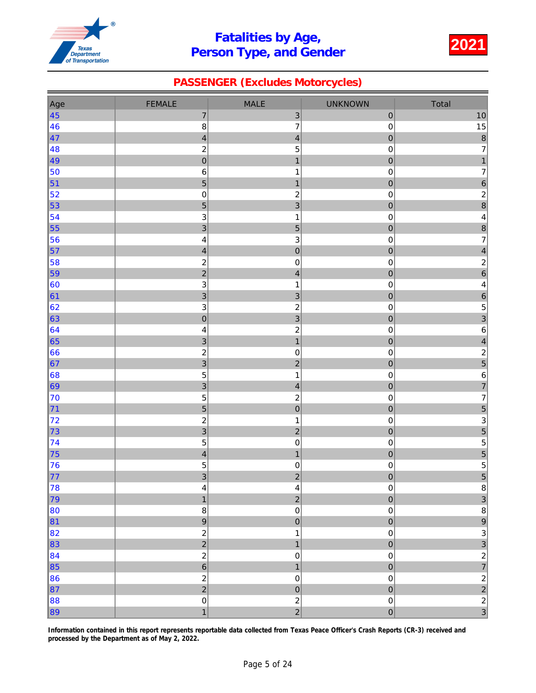

### PASSENGER (Excludes Motorcycles)

| Age                                                                                                                                                                                                                                 | <b>FEMALE</b>                                                                                                                                                                                                                                                                                                                                                                                                                                                           | MALE                                                                                                                                                                                                                                                                                                                                                                                                                                                                                                                                                | <b>UNKNOWN</b>                                                                                                                                                                                                                                                                                                                                                                                                                                            | Total                                                     |
|-------------------------------------------------------------------------------------------------------------------------------------------------------------------------------------------------------------------------------------|-------------------------------------------------------------------------------------------------------------------------------------------------------------------------------------------------------------------------------------------------------------------------------------------------------------------------------------------------------------------------------------------------------------------------------------------------------------------------|-----------------------------------------------------------------------------------------------------------------------------------------------------------------------------------------------------------------------------------------------------------------------------------------------------------------------------------------------------------------------------------------------------------------------------------------------------------------------------------------------------------------------------------------------------|-----------------------------------------------------------------------------------------------------------------------------------------------------------------------------------------------------------------------------------------------------------------------------------------------------------------------------------------------------------------------------------------------------------------------------------------------------------|-----------------------------------------------------------|
| $\vert 45 \vert$                                                                                                                                                                                                                    | $\overline{7}$                                                                                                                                                                                                                                                                                                                                                                                                                                                          | $\ensuremath{\mathsf{3}}$                                                                                                                                                                                                                                                                                                                                                                                                                                                                                                                           | $\pmb{0}$                                                                                                                                                                                                                                                                                                                                                                                                                                                 | $10$                                                      |
| 46                                                                                                                                                                                                                                  | $\bf8$                                                                                                                                                                                                                                                                                                                                                                                                                                                                  | $\overline{\mathbf{7}}$                                                                                                                                                                                                                                                                                                                                                                                                                                                                                                                             | 0                                                                                                                                                                                                                                                                                                                                                                                                                                                         | 15                                                        |
| $\vert 47$                                                                                                                                                                                                                          | $\overline{\mathbf{4}}$                                                                                                                                                                                                                                                                                                                                                                                                                                                 | $\overline{\mathbf{4}}$                                                                                                                                                                                                                                                                                                                                                                                                                                                                                                                             | $\mathbf 0$                                                                                                                                                                                                                                                                                                                                                                                                                                               | $\overline{8}$                                            |
| 48                                                                                                                                                                                                                                  | $\overline{c}$                                                                                                                                                                                                                                                                                                                                                                                                                                                          | 5                                                                                                                                                                                                                                                                                                                                                                                                                                                                                                                                                   | 0                                                                                                                                                                                                                                                                                                                                                                                                                                                         | $\overline{7}$                                            |
| 49                                                                                                                                                                                                                                  | $\overline{0}$                                                                                                                                                                                                                                                                                                                                                                                                                                                          | $\overline{1}$                                                                                                                                                                                                                                                                                                                                                                                                                                                                                                                                      | $\overline{0}$                                                                                                                                                                                                                                                                                                                                                                                                                                            | $\mathbf{1}$                                              |
| 50                                                                                                                                                                                                                                  | $\,6$                                                                                                                                                                                                                                                                                                                                                                                                                                                                   | $\mathbf 1$                                                                                                                                                                                                                                                                                                                                                                                                                                                                                                                                         | 0                                                                                                                                                                                                                                                                                                                                                                                                                                                         | $\overline{7}$                                            |
| $\vert$ 51                                                                                                                                                                                                                          | 5                                                                                                                                                                                                                                                                                                                                                                                                                                                                       | $\mathbf{1}$                                                                                                                                                                                                                                                                                                                                                                                                                                                                                                                                        | $\mathbf 0$                                                                                                                                                                                                                                                                                                                                                                                                                                               | 6                                                         |
| 52                                                                                                                                                                                                                                  | $\pmb{0}$                                                                                                                                                                                                                                                                                                                                                                                                                                                               | $\overline{c}$                                                                                                                                                                                                                                                                                                                                                                                                                                                                                                                                      | 0                                                                                                                                                                                                                                                                                                                                                                                                                                                         | $\overline{\mathbf{c}}$                                   |
| 53                                                                                                                                                                                                                                  | $\overline{5}$                                                                                                                                                                                                                                                                                                                                                                                                                                                          | 3                                                                                                                                                                                                                                                                                                                                                                                                                                                                                                                                                   | $\mathbf 0$                                                                                                                                                                                                                                                                                                                                                                                                                                               | $\overline{8}$                                            |
| 54                                                                                                                                                                                                                                  | $\mathbf{3}$                                                                                                                                                                                                                                                                                                                                                                                                                                                            | $\mathbf{1}$                                                                                                                                                                                                                                                                                                                                                                                                                                                                                                                                        | $\mathsf 0$                                                                                                                                                                                                                                                                                                                                                                                                                                               | $\overline{\mathbf{r}}$                                   |
| 55                                                                                                                                                                                                                                  | $\overline{3}$                                                                                                                                                                                                                                                                                                                                                                                                                                                          | $\overline{5}$                                                                                                                                                                                                                                                                                                                                                                                                                                                                                                                                      | $\overline{0}$                                                                                                                                                                                                                                                                                                                                                                                                                                            | $\overline{8}$                                            |
| 56                                                                                                                                                                                                                                  | $\overline{\mathbf{4}}$                                                                                                                                                                                                                                                                                                                                                                                                                                                 | $\mathsf 3$                                                                                                                                                                                                                                                                                                                                                                                                                                                                                                                                         | 0                                                                                                                                                                                                                                                                                                                                                                                                                                                         | $\overline{7}$                                            |
|                                                                                                                                                                                                                                     | $\overline{\mathbf{r}}$                                                                                                                                                                                                                                                                                                                                                                                                                                                 |                                                                                                                                                                                                                                                                                                                                                                                                                                                                                                                                                     |                                                                                                                                                                                                                                                                                                                                                                                                                                                           | $\overline{\mathbf{4}}$                                   |
|                                                                                                                                                                                                                                     | $\overline{\mathbf{c}}$                                                                                                                                                                                                                                                                                                                                                                                                                                                 |                                                                                                                                                                                                                                                                                                                                                                                                                                                                                                                                                     |                                                                                                                                                                                                                                                                                                                                                                                                                                                           | $\overline{c}$                                            |
|                                                                                                                                                                                                                                     |                                                                                                                                                                                                                                                                                                                                                                                                                                                                         |                                                                                                                                                                                                                                                                                                                                                                                                                                                                                                                                                     |                                                                                                                                                                                                                                                                                                                                                                                                                                                           | $\overline{6}$                                            |
|                                                                                                                                                                                                                                     |                                                                                                                                                                                                                                                                                                                                                                                                                                                                         |                                                                                                                                                                                                                                                                                                                                                                                                                                                                                                                                                     |                                                                                                                                                                                                                                                                                                                                                                                                                                                           | 4                                                         |
|                                                                                                                                                                                                                                     |                                                                                                                                                                                                                                                                                                                                                                                                                                                                         |                                                                                                                                                                                                                                                                                                                                                                                                                                                                                                                                                     |                                                                                                                                                                                                                                                                                                                                                                                                                                                           | $\overline{6}$                                            |
|                                                                                                                                                                                                                                     |                                                                                                                                                                                                                                                                                                                                                                                                                                                                         |                                                                                                                                                                                                                                                                                                                                                                                                                                                                                                                                                     |                                                                                                                                                                                                                                                                                                                                                                                                                                                           | 5                                                         |
|                                                                                                                                                                                                                                     |                                                                                                                                                                                                                                                                                                                                                                                                                                                                         |                                                                                                                                                                                                                                                                                                                                                                                                                                                                                                                                                     |                                                                                                                                                                                                                                                                                                                                                                                                                                                           | 3                                                         |
|                                                                                                                                                                                                                                     |                                                                                                                                                                                                                                                                                                                                                                                                                                                                         |                                                                                                                                                                                                                                                                                                                                                                                                                                                                                                                                                     |                                                                                                                                                                                                                                                                                                                                                                                                                                                           | 6                                                         |
|                                                                                                                                                                                                                                     |                                                                                                                                                                                                                                                                                                                                                                                                                                                                         |                                                                                                                                                                                                                                                                                                                                                                                                                                                                                                                                                     |                                                                                                                                                                                                                                                                                                                                                                                                                                                           | $\overline{\mathcal{L}}$                                  |
|                                                                                                                                                                                                                                     |                                                                                                                                                                                                                                                                                                                                                                                                                                                                         |                                                                                                                                                                                                                                                                                                                                                                                                                                                                                                                                                     |                                                                                                                                                                                                                                                                                                                                                                                                                                                           | $\overline{\mathbf{c}}$                                   |
|                                                                                                                                                                                                                                     |                                                                                                                                                                                                                                                                                                                                                                                                                                                                         |                                                                                                                                                                                                                                                                                                                                                                                                                                                                                                                                                     |                                                                                                                                                                                                                                                                                                                                                                                                                                                           | 5                                                         |
|                                                                                                                                                                                                                                     |                                                                                                                                                                                                                                                                                                                                                                                                                                                                         |                                                                                                                                                                                                                                                                                                                                                                                                                                                                                                                                                     |                                                                                                                                                                                                                                                                                                                                                                                                                                                           | 6                                                         |
|                                                                                                                                                                                                                                     |                                                                                                                                                                                                                                                                                                                                                                                                                                                                         |                                                                                                                                                                                                                                                                                                                                                                                                                                                                                                                                                     |                                                                                                                                                                                                                                                                                                                                                                                                                                                           | $\overline{7}$                                            |
|                                                                                                                                                                                                                                     |                                                                                                                                                                                                                                                                                                                                                                                                                                                                         |                                                                                                                                                                                                                                                                                                                                                                                                                                                                                                                                                     |                                                                                                                                                                                                                                                                                                                                                                                                                                                           | $\overline{7}$                                            |
|                                                                                                                                                                                                                                     |                                                                                                                                                                                                                                                                                                                                                                                                                                                                         |                                                                                                                                                                                                                                                                                                                                                                                                                                                                                                                                                     |                                                                                                                                                                                                                                                                                                                                                                                                                                                           | 5                                                         |
|                                                                                                                                                                                                                                     |                                                                                                                                                                                                                                                                                                                                                                                                                                                                         |                                                                                                                                                                                                                                                                                                                                                                                                                                                                                                                                                     |                                                                                                                                                                                                                                                                                                                                                                                                                                                           | 3                                                         |
|                                                                                                                                                                                                                                     |                                                                                                                                                                                                                                                                                                                                                                                                                                                                         |                                                                                                                                                                                                                                                                                                                                                                                                                                                                                                                                                     |                                                                                                                                                                                                                                                                                                                                                                                                                                                           | 5                                                         |
|                                                                                                                                                                                                                                     |                                                                                                                                                                                                                                                                                                                                                                                                                                                                         |                                                                                                                                                                                                                                                                                                                                                                                                                                                                                                                                                     |                                                                                                                                                                                                                                                                                                                                                                                                                                                           | 5                                                         |
|                                                                                                                                                                                                                                     |                                                                                                                                                                                                                                                                                                                                                                                                                                                                         |                                                                                                                                                                                                                                                                                                                                                                                                                                                                                                                                                     |                                                                                                                                                                                                                                                                                                                                                                                                                                                           | $\frac{5}{5}$                                             |
|                                                                                                                                                                                                                                     |                                                                                                                                                                                                                                                                                                                                                                                                                                                                         |                                                                                                                                                                                                                                                                                                                                                                                                                                                                                                                                                     |                                                                                                                                                                                                                                                                                                                                                                                                                                                           | 5                                                         |
|                                                                                                                                                                                                                                     |                                                                                                                                                                                                                                                                                                                                                                                                                                                                         |                                                                                                                                                                                                                                                                                                                                                                                                                                                                                                                                                     |                                                                                                                                                                                                                                                                                                                                                                                                                                                           |                                                           |
|                                                                                                                                                                                                                                     |                                                                                                                                                                                                                                                                                                                                                                                                                                                                         |                                                                                                                                                                                                                                                                                                                                                                                                                                                                                                                                                     |                                                                                                                                                                                                                                                                                                                                                                                                                                                           | 8<br>3                                                    |
|                                                                                                                                                                                                                                     |                                                                                                                                                                                                                                                                                                                                                                                                                                                                         |                                                                                                                                                                                                                                                                                                                                                                                                                                                                                                                                                     |                                                                                                                                                                                                                                                                                                                                                                                                                                                           |                                                           |
|                                                                                                                                                                                                                                     |                                                                                                                                                                                                                                                                                                                                                                                                                                                                         |                                                                                                                                                                                                                                                                                                                                                                                                                                                                                                                                                     |                                                                                                                                                                                                                                                                                                                                                                                                                                                           | $\bf 8$<br>9                                              |
|                                                                                                                                                                                                                                     |                                                                                                                                                                                                                                                                                                                                                                                                                                                                         |                                                                                                                                                                                                                                                                                                                                                                                                                                                                                                                                                     |                                                                                                                                                                                                                                                                                                                                                                                                                                                           | $\overline{3}$                                            |
|                                                                                                                                                                                                                                     |                                                                                                                                                                                                                                                                                                                                                                                                                                                                         |                                                                                                                                                                                                                                                                                                                                                                                                                                                                                                                                                     |                                                                                                                                                                                                                                                                                                                                                                                                                                                           |                                                           |
|                                                                                                                                                                                                                                     |                                                                                                                                                                                                                                                                                                                                                                                                                                                                         |                                                                                                                                                                                                                                                                                                                                                                                                                                                                                                                                                     |                                                                                                                                                                                                                                                                                                                                                                                                                                                           |                                                           |
|                                                                                                                                                                                                                                     |                                                                                                                                                                                                                                                                                                                                                                                                                                                                         |                                                                                                                                                                                                                                                                                                                                                                                                                                                                                                                                                     |                                                                                                                                                                                                                                                                                                                                                                                                                                                           |                                                           |
|                                                                                                                                                                                                                                     |                                                                                                                                                                                                                                                                                                                                                                                                                                                                         |                                                                                                                                                                                                                                                                                                                                                                                                                                                                                                                                                     |                                                                                                                                                                                                                                                                                                                                                                                                                                                           |                                                           |
|                                                                                                                                                                                                                                     |                                                                                                                                                                                                                                                                                                                                                                                                                                                                         |                                                                                                                                                                                                                                                                                                                                                                                                                                                                                                                                                     |                                                                                                                                                                                                                                                                                                                                                                                                                                                           |                                                           |
|                                                                                                                                                                                                                                     |                                                                                                                                                                                                                                                                                                                                                                                                                                                                         |                                                                                                                                                                                                                                                                                                                                                                                                                                                                                                                                                     |                                                                                                                                                                                                                                                                                                                                                                                                                                                           |                                                           |
|                                                                                                                                                                                                                                     |                                                                                                                                                                                                                                                                                                                                                                                                                                                                         |                                                                                                                                                                                                                                                                                                                                                                                                                                                                                                                                                     |                                                                                                                                                                                                                                                                                                                                                                                                                                                           |                                                           |
| 57<br>58<br>59<br>60<br> 61<br>62<br>63<br>64<br>65<br>66<br> 67 <br> 68 <br>69<br>70<br>$\vert$ 71<br>72<br>73<br> 74<br>75<br>76<br> 77<br>78<br>79<br>80<br> 81 <br> 82 <br>83<br>84<br>$\vert$ 85<br>86<br> 87 <br>$\ 88$<br>89 | $\overline{2}$<br>$\ensuremath{\mathsf{3}}$<br>$\overline{3}$<br>$\mathbf{3}$<br>$\pmb{0}$<br>4<br>$\overline{3}$<br>$\boldsymbol{2}$<br>$\overline{3}$<br>$\sqrt{5}$<br>$\overline{3}$<br>5<br>5<br>$\boldsymbol{2}$<br>$\overline{3}$<br>$\overline{5}$<br>$\overline{\mathbf{4}}$<br>$\overline{5}$<br>$\overline{3}$<br>4<br>$\overline{1}$<br>$\bf8$<br>$\overline{9}$<br>$\frac{2}{2}$<br>$\frac{2}{6}$<br>$\frac{2}{2}$<br>$\mathsf{O}\xspace$<br>$\overline{1}$ | $\mathbf 0$<br>$\pmb{0}$<br>$\overline{4}$<br>$\mathbf{1}$<br>3<br>$\overline{2}$<br>$\mathbf{3}$<br>$\overline{c}$<br>$\mathbf{1}$<br>$\pmb{0}$<br>$\overline{c}$<br>$\mathbf{1}$<br>$\overline{4}$<br>$\overline{c}$<br>$\mathbf 0$<br>$\mathbf{1}$<br>$\overline{2}$<br>$\mathbf 0$<br>$\mathbf{1}$<br>$\mathbf 0$<br>$\overline{c}$<br>$\overline{\mathbf{r}}$<br>$\overline{2}$<br>$\mathsf{O}\xspace$<br>$\pmb{0}$<br>$\mathbf{1}$<br>$\mathbf{1}$<br>$\mathsf{O}\xspace$<br>$\overline{1}$<br>$\mathsf 0$<br>$\overline{0}$<br>$\frac{2}{2}$ | $\overline{0}$<br>0<br>$\overline{0}$<br>$\mathsf 0$<br>$\overline{0}$<br>$\mathbf 0$<br>0<br>0<br>$\mathbf 0$<br>0<br>$\overline{0}$<br>0<br>$\overline{0}$<br>0<br>$\mathbf 0$<br>0<br>$\mathbf 0$<br>$\mathsf 0$<br>$\overline{0}$<br>$\mathsf 0$<br>0<br>$\pmb{0}$<br>$\overline{0}$<br>$\mathbf 0$<br>$\mathbf{0}$<br>$\mathsf 0$<br>$\overline{0}$<br>$\mathsf 0$<br>$\overline{0}$<br>$\pmb{0}$<br>$\overline{0}$<br>$\mathbf 0$<br>$\overline{0}$ | $\begin{array}{c c}\n3 & 2 & 7 \\ 2 & 2 & 3\n\end{array}$ |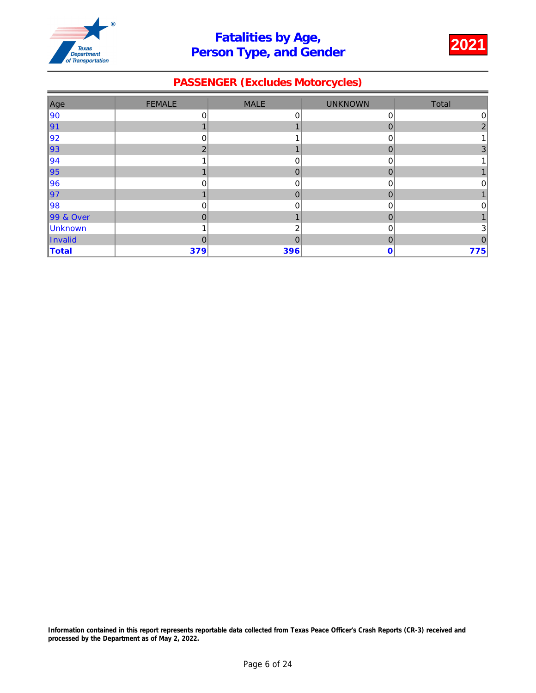

### PASSENGER (Excludes Motorcycles)

| Age       | <b>FEMALE</b>  | <b>MALE</b>  | <b>UNKNOWN</b> | Total          |
|-----------|----------------|--------------|----------------|----------------|
| 90        | 0              | 0            | 0              | $\overline{0}$ |
| ∥91       |                |              | 0              | $\mathfrak{p}$ |
| 92        | 0              |              | 0              |                |
| ∥93       | $\mathcal{P}$  |              | $\overline{0}$ | 3              |
| 94        |                | 0            | 0              |                |
| ∥95       |                | $\mathbf{0}$ | $\overline{0}$ |                |
| 96        | 0              | 0            | 0              | 0              |
| ∥97       | и              | $\mathbf 0$  | $\overline{0}$ |                |
| 98        | $\mathbf 0$    | 0            | 0              | $\Omega$       |
| 99 & Over | $\mathbf 0$    |              | 0              |                |
| Unknown   |                | 2            | 0              | 3              |
| Invalid   | $\overline{0}$ | $\mathbf 0$  | 0              | 0              |
| Total     | 379            | 396          | 0              | 775            |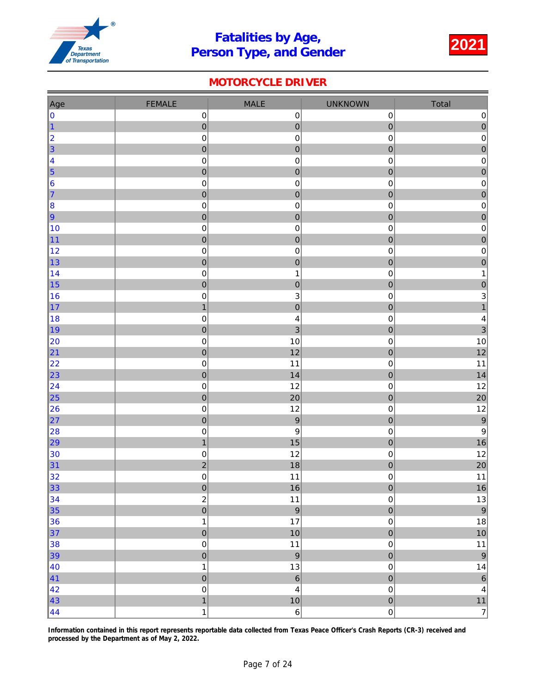

### MOTORCYCLE DRIVER

| Age              | <b>FEMALE</b>            | <b>MALE</b>             | <b>UNKNOWN</b>         | Total                                   |
|------------------|--------------------------|-------------------------|------------------------|-----------------------------------------|
| 0                | $\mathbf 0$              | $\pmb{0}$               | $\mathbf 0$            | $\pmb{0}$                               |
| $\vert$ 1        | $\mathbf 0$              | $\pmb{0}$               | $\pmb{0}$              | $\begin{array}{c}\n0 \\ 0\n\end{array}$ |
| 2                | $\pmb{0}$                | $\pmb{0}$               | $\pmb{0}$              |                                         |
| $\vert$ 3        | $\mathbf 0$              | $\mathbf 0$             | $\mathbf 0$            | $\overline{0}$                          |
| $\vert 4 \vert$  | $\pmb{0}$                | $\pmb{0}$               | $\mathbf 0$            | $\mathsf{O}\xspace$                     |
| $\vert$ 5        | $\pmb{0}$                | $\mathbf 0$             | $\pmb{0}$              | $\mathbf{0}$                            |
| 6                | $\pmb{0}$                | $\pmb{0}$               | $\pmb{0}$              | $\overline{\textbf{0}}$                 |
| 7                | $\mathbf 0$              | $\mathbf 0$             | $\mathbf 0$            | $\overline{0}$                          |
| $\vert 8 \vert$  | $\pmb{0}$                | $\pmb{0}$               | $\pmb{0}$              | $\pmb{0}$                               |
| 9                | $\mathbf 0$              | $\mathbf{0}$            | $\overline{0}$         | $\begin{array}{c} 0 \\ 0 \end{array}$   |
| 10               | $\mathbf 0$              | $\pmb{0}$               | $\pmb{0}$              |                                         |
| 11               | $\pmb{0}$                | $\pmb{0}$               | $\pmb{0}$              | $\begin{array}{c} 0 \\ 0 \end{array}$   |
| 12               | $\mathbf 0$              | $\pmb{0}$               | $\pmb{0}$              |                                         |
| 13               | $\mathbf 0$              | $\mathbf 0$             | $\mathbf 0$            | $\overline{0}$                          |
| 14               | $\mathbf 0$              | $\mathbf{1}$            | $\pmb{0}$              | $\mathbf{1}$                            |
| 15               | $\pmb{0}$                | $\mathbf 0$             | $\mathbf 0$            | $\mathbf 0$                             |
| 16               | $\pmb{0}$                | 3                       | $\pmb{0}$              | $\overline{3}$                          |
| 17               | $\mathbf{1}$             | $\overline{0}$          | $\overline{0}$         | $\overline{1}$                          |
| 18               | $\mathbf 0$              | $\overline{\mathbf{r}}$ | $\pmb{0}$              | $\overline{\mathbf{4}}$                 |
| ∥19              | $\mathbf 0$              | $\overline{3}$          | $\mathbf 0$            | 3                                       |
| 20               | $\pmb{0}$                | 10<br>12                | $\pmb{0}$              | $10\,$<br>12                            |
| 21<br>22         | $\mathbf 0$<br>$\pmb{0}$ | 11                      | $\pmb{0}$<br>$\pmb{0}$ | 11                                      |
| 23               | $\mathbf 0$              | 14                      | $\mathbf 0$            | 14                                      |
| 24               | $\mathbf 0$              | 12                      | $\mathbf 0$            | 12                                      |
| $\vert$ 25       | $\pmb{0}$                | 20                      | $\pmb{0}$              | 20                                      |
| 26               | $\pmb{0}$                | 12                      | $\pmb{0}$              | 12                                      |
| 27               | $\mathbf 0$              | $\overline{9}$          | $\overline{0}$         | $\overline{9}$                          |
| 28               | $\mathbf 0$              | $\boldsymbol{9}$        | $\mathbf 0$            | $\boldsymbol{9}$                        |
| 29               | $\mathbf{1}$             | 15                      | $\mathbf 0$            | 16                                      |
| 30               | $\pmb{0}$                | 12                      | $\mbox{O}$             | 12                                      |
| 31               | $\overline{c}$           | 18                      | $\pmb{0}$              | 20                                      |
| 32               | $\mathsf 0$              | 11                      | $\mathbf 0$            | 11                                      |
| 33               | $\mathbf 0$              | 16                      | ${\bf 0}$              | $16\,$                                  |
| 34               |                          | 11                      | $\mathbf 0$            | $13$                                    |
| 35               | $\frac{2}{0}$            | $\overline{9}$          | $\overline{0}$         | $\overline{9}$                          |
| 36               | $\mathbf 1$              | 17                      | $\mathsf 0$            | $18\,$                                  |
| 37               | $\mathbf 0$              | 10                      | $\overline{0}$         | $10$                                    |
| 38               | $\pmb{0}$                | 11                      | $\mathsf 0$            | $11$                                    |
| $\vert$ 39       | $\pmb{0}$                | $\overline{9}$          | $\overline{0}$         | $\overline{9}$                          |
| $\vert$ 40       | $\mathbf{1}$             | 13                      | $\pmb{0}$              | 14                                      |
| $\vert 41 \vert$ | $\pmb{0}$                | $\overline{6}$          | $\overline{0}$         | $\overline{6}$                          |
| 42               | $\mathbf 0$              | $\overline{4}$          | $\mathsf 0$            | $\overline{\mathbf{4}}$                 |
| 43               | $\overline{1}$           | 10                      | $\overline{0}$         | $11$                                    |
| $\vert 44 \vert$ | $\mathbf{1}$             | $6\vert$                | 0                      | $\overline{7}$                          |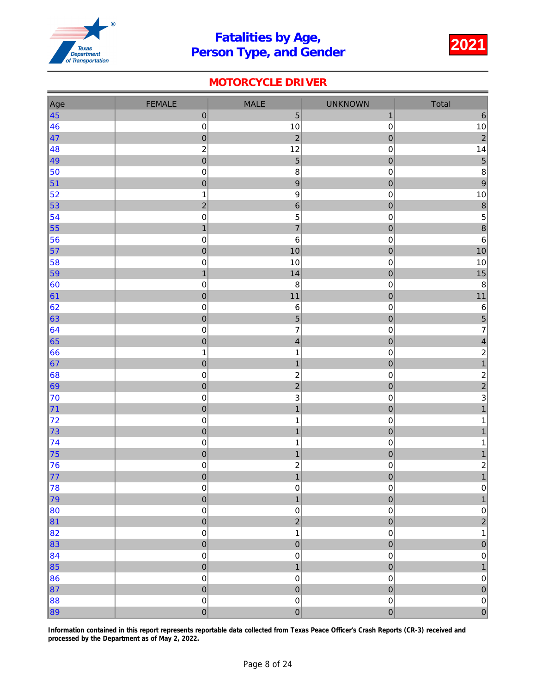

### MOTORCYCLE DRIVER

| Age               | <b>FEMALE</b>               | <b>MALE</b>                        | <b>UNKNOWN</b>              | Total                                             |
|-------------------|-----------------------------|------------------------------------|-----------------------------|---------------------------------------------------|
| $\vert 45 \vert$  | $\pmb{0}$                   | $\overline{5}$                     | $\mathbf{1}$                | $\,$ 6 $\,$                                       |
| 46                | $\mathbf 0$                 | 10                                 | $\pmb{0}$                   | $10\,$                                            |
| $\vert 47 \vert$  | $\mathbf{0}$                | $\overline{c}$                     | $\mathbf 0$                 | $\overline{2}$                                    |
| 48                | $\boldsymbol{2}$            | 12                                 | $\mathbf 0$                 | 14                                                |
| 49                | $\pmb{0}$                   | $\overline{5}$                     | $\mathbf 0$                 | $\overline{5}$                                    |
| 50                | $\pmb{0}$                   | $\bf8$                             | $\mathbf 0$                 | $\boldsymbol{8}$                                  |
| $\vert$ 51        | $\pmb{0}$                   | $\boldsymbol{9}$                   | $\mathbf{0}$                | $\overline{9}$                                    |
| $\vert$ 52        | $\mathbf 1$                 | $\boldsymbol{9}$                   | $\mathbf 0$                 | $10$                                              |
| $\vert$ 53        | $\overline{c}$              | $\overline{6}$                     | $\overline{0}$              | $\delta$                                          |
| $\vert$ 54        | $\pmb{0}$                   | $\mathbf 5$                        | $\mathbf 0$                 | $\overline{5}$                                    |
| $\vert$ 55        | $\overline{1}$              | $\overline{7}$                     | $\overline{0}$              | $\overline{\mathbf{8}}$                           |
| 56                | $\pmb{0}$                   | $\,$ 6 $\,$                        | $\mathbf 0$                 | $\,6$                                             |
| $\vert$ 57        | $\pmb{0}$                   | 10                                 | $\mathbf{0}$                | 10                                                |
| 58                | $\pmb{0}$                   | 10                                 | $\mathbf 0$                 | 10                                                |
| $\vert$ 59        | $\mathbf{1}$                | 14                                 | $\mathbf 0$                 | 15                                                |
| $\vert$ 60        | $\mathbf 0$                 | $\bf8$                             | $\mathbf 0$                 | $\bf 8$                                           |
| 61                | $\overline{0}$              | 11                                 | $\overline{0}$              | $11$                                              |
| 62                | $\mathbf 0$                 | $\,6\,$                            | $\mathbf 0$                 | $\,6$                                             |
| 63                | $\pmb{0}$                   | $\overline{5}$                     | $\mathbf 0$                 | $\begin{array}{c} 5 \\ 7 \end{array}$             |
| 64                | $\pmb{0}$                   | $\overline{7}$                     | $\mathbf 0$                 |                                                   |
| 65                | $\mathbf 0$                 | $\overline{4}$                     | $\overline{0}$              | $\vert 4 \vert$                                   |
| $\vert 66 \vert$  | $\mathbf 1$                 | $\mathbf{1}$                       | $\mathbf 0$                 | $\overline{\mathbf{c}}$<br>$\overline{1}$         |
| $\vert 67 \vert$  | $\mathbf{0}$<br>$\mathbf 0$ | $\mathbf{1}$                       | $\mathbf{0}$<br>$\mathbf 0$ |                                                   |
| 68 <br>$\vert$ 69 | $\pmb{0}$                   | $\boldsymbol{2}$<br>$\overline{c}$ |                             |                                                   |
| 70                | $\mathbf 0$                 | $\mathbf{3}$                       | $\mathbf 0$<br>$\mathbf 0$  | $\begin{array}{c}\n2 \\ 2 \\ 3 \\ 1\n\end{array}$ |
| $\vert$ 71        | $\mathbf 0$                 | $\mathbf{1}$                       | $\overline{0}$              |                                                   |
| 72                | $\mathbf 0$                 | 1                                  | $\mathbf 0$                 | 1                                                 |
| $\vert$ 73        | $\pmb{0}$                   | $\overline{1}$                     | $\mathbf{0}$                | $\mathbf{1}$                                      |
| $\vert$ 74        | $\pmb{0}$                   | 1                                  | $\mathbf 0$                 | 1                                                 |
| $\vert$ 75        | $\mathbf 0$                 | $\mathbf{1}$                       | $\overline{0}$              | 1                                                 |
| 76                | $\pmb{0}$                   | $\overline{\mathbf{c}}$            | $\mathbf 0$                 |                                                   |
| $\vert$ 77        | $\overline{0}$              | $\overline{1}$                     | $\mathbf{0}$                | $\begin{array}{c} 2 \\ 1 \end{array}$             |
| 78                | $\pmb{0}$                   | $\pmb{0}$                          | $\mathbf 0$                 | 0                                                 |
| $\vert$ 79        | $\mathbf 0$                 | $\overline{1}$                     | $\mathbf 0$                 | $\mathbf{1}$                                      |
| $\vert$ 80        | $\mathbf 0$                 | $\pmb{0}$                          | $\mathsf 0$                 |                                                   |
| 81                | $\mathbf 0$                 | $\overline{a}$                     | $\overline{0}$              | $\begin{bmatrix} 0 \\ 2 \end{bmatrix}$            |
| 82                | $\mathbf 0$                 | $\mathbf{1}$                       | $\mathbf 0$                 | 1                                                 |
| $\vert$ 83        | $\mathbf 0$                 | $\mathbf 0$                        | $\mathbf 0$                 | $\pmb{0}$                                         |
| 84                | $\pmb{0}$                   | $\pmb{0}$                          | 0                           | $\pmb{0}$                                         |
| $\vert$ 85        | $\pmb{0}$                   | $\overline{1}$                     | $\mathbf{0}$                | 1                                                 |
| $\vert$ 86        | $\pmb{0}$                   | $\mathbf 0$                        | $\mathbf 0$                 | $\mathsf{O}\xspace$                               |
| $\vert$ 87        | $\overline{0}$              | $\overline{0}$                     | $\mathbf 0$                 | $\overline{0}$                                    |
| 88                | $\mathbf 0$                 | $\pmb{0}$                          | $\mathsf 0$                 | $\vert 0 \vert$                                   |
| $\ 89\ $          | $\overline{0}$              | $\overline{0}$                     | $\overline{0}$              | $\overline{0}$                                    |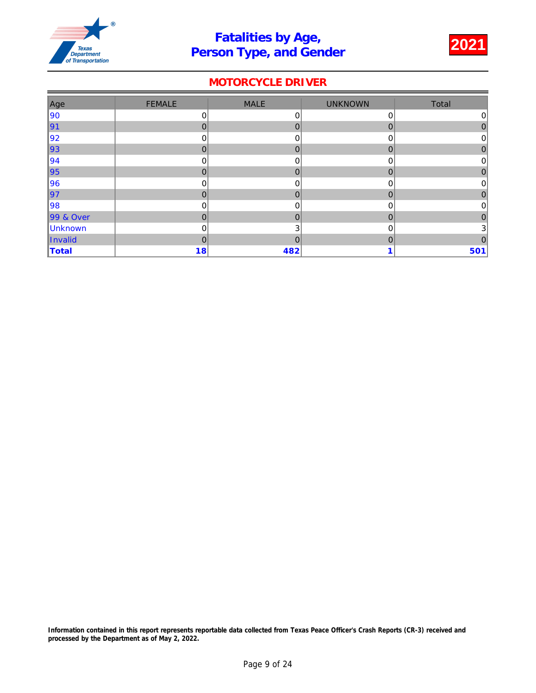

### MOTORCYCLE DRIVER

| Age       | <b>FEMALE</b>  | <b>MALE</b>  | <b>UNKNOWN</b> | Total          |
|-----------|----------------|--------------|----------------|----------------|
| 90        | 0              | 0            | 0              | 0              |
| ∥91       | $\mathbf 0$    | $\mathbf 0$  | 0              | $\mathbf{0}$   |
| 92        | 0              | 0            | 0              | $\overline{0}$ |
| ∥93       | $\Omega$       | $\mathbf{0}$ | $\overline{0}$ | $\Omega$       |
| 94        | 0              | 0            | 0              | 0              |
| ∥95       | $\Omega$       | $\mathbf{0}$ | $\overline{0}$ | 0              |
| 96        | 0              | 0            | 0              | 0              |
| ∥97       | $\mathbf 0$    | $\mathbf 0$  | $\overline{0}$ | 0              |
| 98        | $\mathbf 0$    | 0            | 0              | $\overline{0}$ |
| 99 & Over | $\mathbf 0$    | $\mathbf 0$  | 0              | 0              |
| Unknown   | $\mathbf 0$    | 3            | 0              | 3              |
| Invalid   | $\overline{0}$ | $\mathbf 0$  | 0              | 0              |
| Total     | 18             | 482          |                | 501            |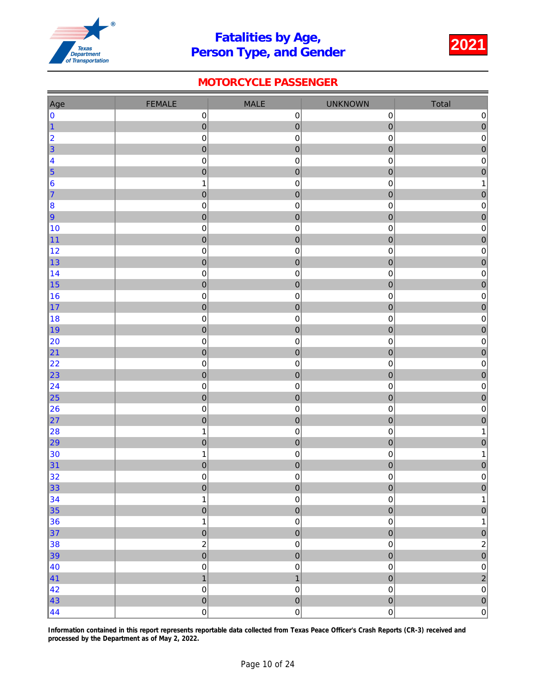

### MOTORCYCLE PASSENGER

| Age                    | <b>FEMALE</b>                    | <b>MALE</b>                   | <b>UNKNOWN</b>          | Total                                     |
|------------------------|----------------------------------|-------------------------------|-------------------------|-------------------------------------------|
| 0                      | $\mathbf 0$                      | $\mathbf 0$                   | $\mathbf 0$             | $\pmb{0}$                                 |
| $\vert$ 1              | $\mathbf 0$                      | $\mathbf 0$                   | $\overline{0}$          | $\mathbf 0$                               |
| 2                      | $\pmb{0}$                        | $\mathbf 0$                   | 0                       | $\pmb{0}$                                 |
| $\vert$ 3              | $\pmb{0}$                        | $\mathbf 0$                   | $\mathbf 0$             | $\overline{0}$                            |
| 4                      | $\pmb{0}$                        | $\mathbf 0$                   | 0                       | $\pmb{0}$                                 |
| $\vert$ 5              | $\pmb{0}$                        | $\mathbf 0$                   | $\overline{0}$          | $\overline{0}$                            |
| $\vert 6 \vert$        | $\mathbf{1}$                     | $\mathbf 0$                   | 0                       | 1                                         |
| $\vert$ 7              | $\mathbf 0$                      | $\mathbf 0$                   | $\mathbf 0$             | $\mathbf 0$                               |
| $\vert 8 \vert$        | $\pmb{0}$                        | $\pmb{0}$                     | 0                       | $\mathbf 0$                               |
| 9                      | $\mathbf 0$                      | $\mathbf 0$                   | $\mathbf 0$             | $\pmb{0}$                                 |
| 10                     | $\pmb{0}$                        | $\mathbf 0$                   | 0                       | $\mathbf 0$                               |
| 11                     | $\overline{0}$                   | $\mathbf 0$                   | $\overline{0}$          | $\overline{0}$                            |
| 12                     | $\pmb{0}$                        | $\mathsf 0$                   | 0                       | $\pmb{0}$                                 |
| 13                     | $\mathbf 0$                      | $\mathbf 0$                   | $\mathbf 0$             | $\mathbf 0$                               |
| 14                     | $\pmb{0}$                        | $\mathbf 0$<br>$\pmb{0}$      | 0<br>$\overline{0}$     | $\mathbf 0$                               |
| 15 <br>16              | $\mathbf 0$<br>$\mathbf 0$       | $\mathsf 0$                   | $\mathbf 0$             | $\mathbf{0}$<br>$\pmb{0}$                 |
| $\vert$ 17             | $\pmb{0}$                        | $\mathbf 0$                   | $\overline{0}$          | $\mathbf 0$                               |
| 18                     | $\pmb{0}$                        | $\mathsf 0$                   | 0                       | $\pmb{0}$                                 |
| ∥19                    | $\pmb{0}$                        | $\mathbf 0$                   | 0                       | $\pmb{0}$                                 |
| 20                     | $\pmb{0}$                        | $\mathbf 0$                   | 0                       | $\pmb{0}$                                 |
| 21                     | $\mathbf 0$                      | $\mathbf 0$                   | $\overline{0}$          | $\overline{0}$                            |
| 22                     | $\pmb{0}$                        | $\pmb{0}$                     | 0                       | $\pmb{0}$                                 |
| 23                     | $\mathbf 0$                      | $\mathbf 0$                   | $\overline{0}$          | $\overline{0}$                            |
| 24                     | $\pmb{0}$                        | $\mathbf 0$                   | 0                       | $\pmb{0}$                                 |
| 25                     | $\mathbf 0$                      | $\mathbf 0$                   | $\overline{0}$          | $\overline{0}$                            |
| 26                     | $\pmb{0}$                        | $\mathbf 0$                   | 0                       | $\pmb{0}$                                 |
| $\vert$ 27             | $\mathbf 0$                      | $\mathbf 0$                   | $\mathbf 0$             | $\overline{0}$                            |
| 28                     | $\mathbf 1$                      | $\pmb{0}$                     | 0                       | 1                                         |
| 29                     | $\pmb{0}$                        | $\mathbf 0$                   | $\pmb{0}$               | $\pmb{0}$                                 |
| 30                     | $\mathbf 1$                      | $\mathsf 0$                   | $\mathsf 0$             | 1                                         |
| 31                     | $\overline{0}$                   | $\mathbf 0$                   | $\overline{0}$          | $\mathbf 0$                               |
| 32                     | $\mathbf 0$                      | $\mathsf{O}\xspace$           | $\mathsf{O}\xspace$     | $\pmb{0}$                                 |
| $\vert$ 33             | $\pmb{0}$                        | $\pmb{0}$                     | $\bf{0}$                | $\mathbf 0$                               |
| 34                     | $\mathbf 1$                      | $\mathbf 0$                   | $\mathsf 0$             | 1                                         |
| $\vert$ 35             | $\overline{0}$                   | $\pmb{0}$                     | $\overline{0}$          | $\mathbf{0}$                              |
| 36                     | $\mathbf 1$                      | $\mathbf 0$                   | $\mathsf 0$             | $\mathbf 1$                               |
| $\vert$ 37             | $\mathbf 0$                      | $\overline{0}$                | $\overline{0}$          | $\mathbf{0}$                              |
| 38                     | $\overline{c}$<br>$\overline{0}$ | $\mathbf 0$                   | $\mathsf 0$             | $\overline{\mathbf{c}}$<br>$\overline{0}$ |
| $\vert$ 39             |                                  | $\mathbf 0$                   | $\bf{0}$<br>$\mathbf 0$ |                                           |
| 40<br>$\vert 41 \vert$ | $\pmb{0}$<br>$\overline{1}$      | $\mathbf 0$<br>$\overline{1}$ | $\overline{0}$          | $\mathbf 0$<br>$\overline{c}$             |
| 42                     | $\pmb{0}$                        | $\mathsf{O}\xspace$           | $\pmb{0}$               | $\pmb{0}$                                 |
| $\vert 43 \vert$       | $\pmb{\mathsf{O}}$               | $\overline{0}$                | $\overline{0}$          | $\overline{0}$                            |
| $\vert 44$             | $\pmb{0}$                        | $\mathbf 0$                   | $\mathsf{O}\xspace$     | 0                                         |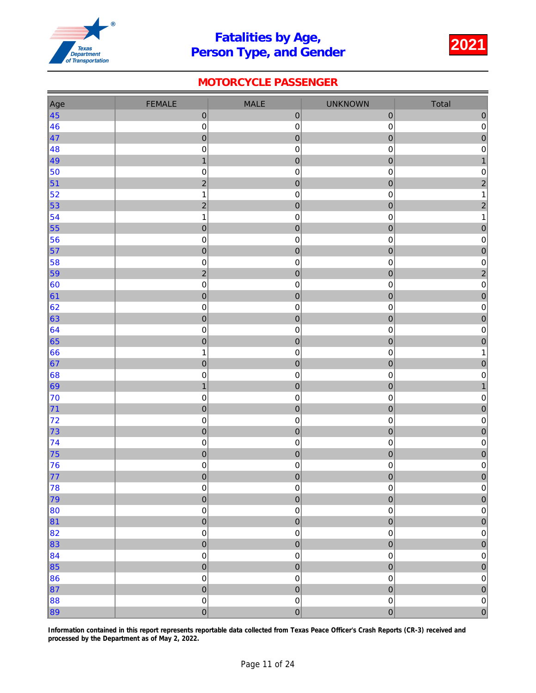

### MOTORCYCLE PASSENGER

| Age              | <b>FEMALE</b>    | MALE                | <b>UNKNOWN</b>      | Total                   |
|------------------|------------------|---------------------|---------------------|-------------------------|
| $\vert 45 \vert$ | $\pmb{0}$        | $\pmb{0}$           | $\pmb{0}$           | $\pmb{0}$               |
| 46               | $\pmb{0}$        | $\pmb{0}$           | 0                   | $\mathbf 0$             |
| $\vert 47$       | $\mathbf 0$      | $\mathbf 0$         | $\mathbf 0$         | $\mathbf{0}$            |
| 48               | $\pmb{0}$        | $\mathsf 0$         | $\mathsf 0$         | $\pmb{0}$               |
| 49               | $\mathbf{1}$     | $\pmb{0}$           | $\overline{0}$      | $\overline{1}$          |
| 50               | $\boldsymbol{0}$ | $\mathsf 0$         | 0                   | $\boldsymbol{0}$        |
| $\vert$ 51       | $\overline{c}$   | $\mathbf 0$         | $\pmb{0}$           | $\overline{c}$          |
| 52               | $\mathbf 1$      | $\pmb{0}$           | 0                   | 1                       |
| 53               | $\overline{2}$   | $\mathbf 0$         | $\overline{0}$      | $\overline{c}$          |
| 54               | $\mathbf 1$      | $\mathbf 0$         | 0                   | 1                       |
| 55               | $\mathbf 0$      | $\overline{0}$      | $\overline{0}$      | $\mathbf{0}$            |
| 56               | $\pmb{0}$        | $\mathbf 0$         | 0                   | $\pmb{0}$               |
| 57               | $\pmb{0}$        | $\mathbf 0$         | 0                   | $\mathbf 0$             |
| 58               | $\pmb{0}$        | $\mathbf 0$         | 0                   | $\mathbf 0$             |
| $\vert$ 59       | $\overline{c}$   | $\mathbf 0$         | $\mathbf 0$         | $\overline{\mathbf{c}}$ |
| 60               | $\pmb{0}$        | $\mathbf 0$         | 0                   | $\pmb{0}$               |
| 61               | $\mathbf 0$      | $\mathbf 0$         | $\mathbf 0$         | $\mathbf 0$             |
| 62               | $\pmb{0}$        | $\pmb{0}$           | $\pmb{0}$           | $\mathbf 0$             |
| 63               | $\overline{0}$   | $\mathbf 0$         | $\overline{0}$      | $\overline{0}$          |
| 64               | $\pmb{0}$        | $\mathbf 0$         | $\mathbf 0$         | $\pmb{0}$               |
| 65               | $\pmb{0}$        | $\mathbf 0$         | $\pmb{0}$           | $\overline{0}$          |
| 66               | $\mathbf 1$      | $\pmb{0}$           | 0                   | 1                       |
| 67               | $\pmb{0}$        | $\mathbf 0$         | $\mathbf 0$         | $\mathbf 0$             |
| 68               | $\pmb{0}$        | $\mathbf 0$         | 0                   | $\pmb{0}$               |
| 69               | $\mathbf{1}$     | $\pmb{0}$           | $\mathbf 0$         | $\mathbf{1}$            |
| 70               | $\mathbf 0$      | $\mathsf 0$         | 0                   | $\mathbf 0$             |
| 71               | $\mathbf 0$      | $\mathbf 0$         | $\mathbf 0$         | $\mathbf 0$             |
| 72               | $\pmb{0}$        | $\pmb{0}$           | 0                   | $\mathbf 0$             |
| 73               | $\overline{0}$   | $\pmb{0}$           | $\overline{0}$      | $\overline{0}$          |
| $\vert$ 74       | $\mathbf 0$      | $\mathbf 0$         | $\mathbf 0$         | $\pmb{0}$               |
| 75               | $\mathbf 0$      | $\mathbf 0$         | $\mathbf 0$         | $\overline{0}$          |
| 76               | $\pmb{0}$        | $\mathbf 0$         | $\mathbf 0$         | $\pmb{0}$               |
| 77               | $\mathbf 0$      | $\pmb{0}$           | 0                   | $\mathbf{0}$            |
| 78               | $\pmb{0}$        | $\pmb{0}$           | $\pmb{0}$           | $\mathsf{O}\xspace$     |
| 79               | $\overline{0}$   | $\pmb{0}$           | $\overline{0}$      | $\mathbf{0}$            |
| 80               | $\mathbf 0$      | $\mathsf{O}\xspace$ | $\mathbf 0$         | $\pmb{0}$               |
| 81               | $\mathbf 0$      | $\pmb{0}$           | $\overline{0}$      | $\pmb{0}$               |
| 82               | $\mathbf 0$      | $\mathsf{O}\xspace$ | $\mathbf 0$         | $\mathbf 0$             |
| 83               | $\overline{0}$   | $\mathbf 0$         | $\overline{0}$      | $\overline{0}$          |
| 84               | $\mathbf 0$      | $\mathbf 0$         | $\mathsf 0$         | $\pmb{0}$               |
| $\vert$ 85       | $\mathbf 0$      | $\pmb{0}$           | $\mathbf 0$         | $\mathbf{0}$            |
| 86               | $\mathbf 0$      | $\mathbf 0$         | $\mathbf 0$         | $\pmb{0}$               |
| $\vert$ 87       | $\overline{0}$   | $\pmb{0}$           | $\overline{0}$      | $\mathbf{0}$            |
| 88               | $\mathbf 0$      | $\mathsf 0$         | $\mathsf{O}\xspace$ | $\mathbf 0$             |
| $\vert$ 89       | $\overline{0}$   | $\mathbf 0$         | $\overline{0}$      | $\overline{0}$          |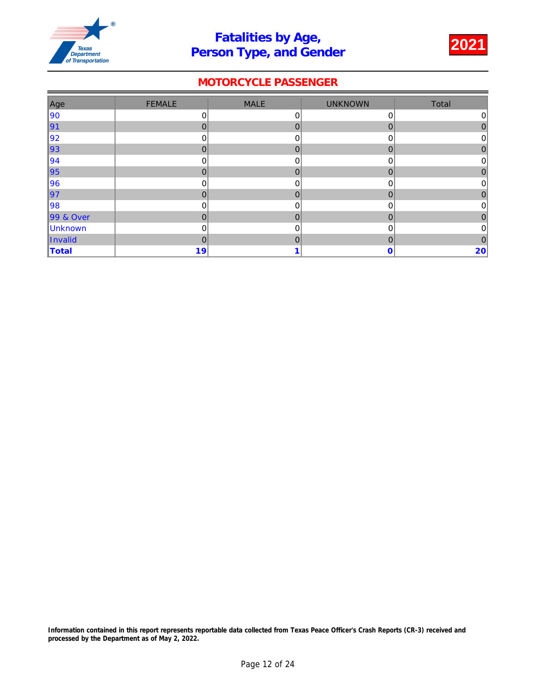

### MOTORCYCLE PASSENGER

| Age       | <b>FEMALE</b>  | <b>MALE</b>  | <b>UNKNOWN</b> | Total          |
|-----------|----------------|--------------|----------------|----------------|
| 90        | 0              | 0            | 0              | 0              |
| ∥91       | $\mathbf 0$    | $\mathbf 0$  | 0              | 0              |
| 92        | 0              | 0            | 0              | 0              |
| ∥93       | $\Omega$       | $\mathbf{0}$ | 0              | 0              |
| 94        | $\mathbf 0$    | 0            | 0              | 0              |
| ∥95       | $\Omega$       | $\mathbf{0}$ | $\overline{0}$ | 0              |
| 96        | 0              | 0            | 0              | 0              |
| ∥97       | $\mathbf 0$    | $\mathbf 0$  | 0              | $\mathbf{0}$   |
| 98        | $\mathbf 0$    | $\mathbf 0$  | 0              | $\overline{0}$ |
| 99 & Over | $\mathbf{0}$   | $\mathbf 0$  | 0              | 0              |
| Unknown   | 0              | 0            | 0              | 0              |
| Invalid   | $\overline{0}$ | $\mathbf 0$  | 0              | $\mathbf{0}$   |
| Total     | 19             |              | 0              | $20 \mid$      |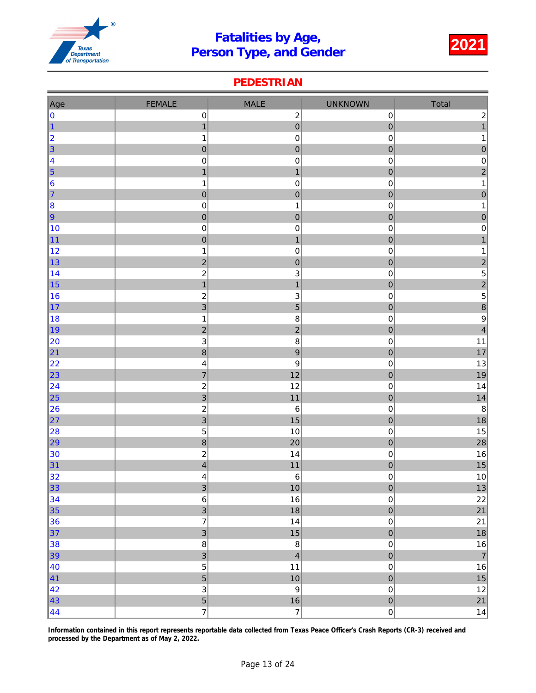

#### PEDESTRIAN

| Age                                                         | <b>FEMALE</b>                              | <b>MALE</b>               | <b>UNKNOWN</b>           | Total                                           |
|-------------------------------------------------------------|--------------------------------------------|---------------------------|--------------------------|-------------------------------------------------|
| 0                                                           | $\pmb{0}$                                  | $\boldsymbol{2}$          | $\boldsymbol{0}$         |                                                 |
| $\vert$ 1                                                   | $\mathbf{1}$                               | $\mathbf 0$               | $\pmb{0}$                | $\begin{array}{c} 2 \\ 1 \end{array}$           |
|                                                             | $\mathbf 1$                                | $\pmb{0}$                 | $\pmb{0}$                | $\mathbf{1}$                                    |
| $\begin{array}{c} \n 2 \\  3\n \end{array}$                 | $\pmb{0}$                                  | $\pmb{0}$                 | $\mathbf 0$              | $\mathbf 0$                                     |
|                                                             | $\mathbf 0$                                | $\pmb{0}$                 | $\pmb{0}$                | $\pmb{0}$                                       |
| $\begin{array}{ c c }\n\hline\n4 \\ \hline\n5\n\end{array}$ | $\mathbf{1}$                               | $\mathbf{1}$              | $\pmb{0}$                | $\frac{2}{1}$                                   |
| $\vert 6 \vert$                                             | $\mathbf 1$                                | $\pmb{0}$                 | $\pmb{0}$                |                                                 |
| $\vert$ 7                                                   | $\pmb{0}$                                  | $\pmb{0}$                 | $\pmb{0}$                | $\mathbf{0}$                                    |
| $\vert$ 8                                                   | $\mathbf 0$                                | $\mathbf 1$               | $\mathbf 0$              | $\mathbf{1}$                                    |
| $\vert$ 9                                                   | $\pmb{0}$                                  | $\pmb{0}$                 | $\pmb{0}$                | $\mathbf{0}$                                    |
| 10                                                          | $\pmb{0}$                                  | $\pmb{0}$                 | $\pmb{0}$                | $\pmb{0}$                                       |
| $\vert$ 11                                                  | $\mathbf 0$                                | $\mathbf{1}$              | $\mathbf 0$              | $\overline{1}$                                  |
| 12                                                          | $\mathbf 1$                                | $\pmb{0}$                 | $\pmb{0}$                | $\mathbf{1}$                                    |
| ∥13                                                         | $\overline{2}$                             | $\mathbf 0$               | $\pmb{0}$                |                                                 |
| 14                                                          | $\mathbf 2$                                | $\ensuremath{\mathsf{3}}$ | $\pmb{0}$                |                                                 |
| $\vert$ 15                                                  | $\mathbf{1}$                               | $\mathbf{1}$              | $\mathbf 0$              | $\begin{array}{c} 2 \\ 5 \\ 2 \\ 5 \end{array}$ |
| 16                                                          | $\overline{\mathbf{c}}$                    | $\ensuremath{\mathsf{3}}$ | $\pmb{0}$                |                                                 |
| $\vert$ 17                                                  | $\overline{3}$                             | 5                         | $\mathbf{0}$             | $\frac{8}{9}$                                   |
| 18                                                          | $\mathbf 1$                                | $\bf 8$                   | $\pmb{0}$                |                                                 |
| ∥19                                                         | $\overline{c}$                             | $\overline{c}$            | $\pmb{0}$                | $\overline{\mathbf{4}}$                         |
| 20                                                          | 3<br>8                                     | $\bf 8$<br>$\overline{9}$ | $\pmb{0}$                | 11<br>17                                        |
| 21                                                          |                                            | $\boldsymbol{9}$          | $\pmb{0}$                | 13                                              |
| 22 <br>$\vert$ 23                                           | $\overline{\mathcal{L}}$<br>$\overline{7}$ | 12                        | $\pmb{0}$<br>$\mathbf 0$ | 19                                              |
| 24                                                          | $\overline{\mathbf{c}}$                    | 12                        | $\pmb{0}$                | 14                                              |
| $\vert$ 25                                                  | $\overline{3}$                             | 11                        | $\mathbf 0$              | 14                                              |
| 26                                                          | $\overline{\mathbf{c}}$                    | $\,6\,$                   | $\pmb{0}$                | $\bf8$                                          |
| 27                                                          | $\overline{3}$                             | 15                        | $\mathbf{0}$             | 18                                              |
| 28                                                          | 5                                          | 10                        | $\mathbf 0$              | 15                                              |
| $\vert$ 29                                                  | 8                                          | 20                        | $\mathbf 0$              | 28                                              |
| 30                                                          | $\overline{c}$                             | 14                        | $\pmb{0}$                | 16                                              |
| 31                                                          | $\overline{4}$                             | 11                        | $\pmb{0}$                | 15                                              |
| 32                                                          | $\overline{\mathcal{L}}$                   | $\,6\,$                   | $\mathbf 0$              | $10\,$                                          |
| 33                                                          | $\vert 3 \vert$                            | $10\,$                    | $\mathbf 0$              | $13\,$                                          |
| 34                                                          | $\,6\,$                                    | 16                        | $\mathsf 0$              | 22                                              |
| $\vert$ 35                                                  | $\overline{3}$                             | 18                        | $\overline{0}$           | 21                                              |
| 36                                                          | $\overline{7}$                             | 14                        | $\mathsf 0$              | 21                                              |
| 37                                                          | $\overline{3}$                             | 15                        | $\overline{0}$           | 18                                              |
| 38                                                          | $\bf 8$                                    | $\bf 8$                   | $\mathsf{O}\xspace$      | $16\,$                                          |
| 39                                                          | $\overline{3}$                             | $\overline{\mathbf{4}}$   | $\overline{0}$           | $\overline{7}$                                  |
| 40                                                          | $\frac{5}{5}$                              | 11                        | $\mathbf 0$              | $16\,$                                          |
| $\vert 41 \vert$                                            |                                            | $10$                      | $\pmb{\mathsf{O}}$       | $15\,$                                          |
| 42                                                          | 3                                          | $\boldsymbol{9}$          | $\mathsf{O}\xspace$      | $12 \overline{ }$                               |
| $\vert 43 \vert$                                            | $\frac{5}{7}$                              | $\frac{16}{7}$            | $\overline{0}$           | 21                                              |
| $\vert 44 \vert$                                            |                                            |                           | $\mathsf{O}\xspace$      | 14                                              |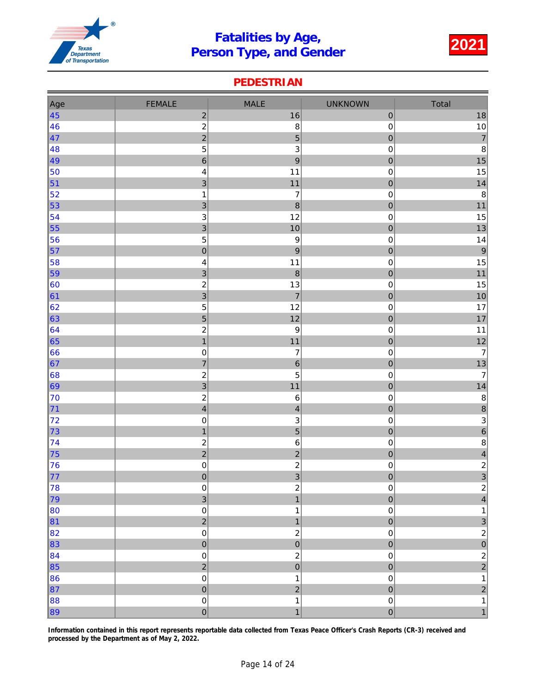

#### PEDESTRIAN

| Age              | <b>FEMALE</b>               | <b>MALE</b>                      | <b>UNKNOWN</b>                | Total                                     |
|------------------|-----------------------------|----------------------------------|-------------------------------|-------------------------------------------|
| $\vert 45 \vert$ | $\overline{\mathbf{c}}$     | 16                               | $\mathbf 0$                   | $18\,$                                    |
| 46               | $\overline{c}$              | 8                                | $\mathbf 0$                   | 10                                        |
| $\vert 47$       | $\overline{c}$              | 5                                | $\mathbf 0$                   | $\overline{7}$                            |
| 48               | 5                           | $\mathbf{3}$                     | $\pmb{0}$                     | 8                                         |
| 49               | $\overline{6}$              | $\overline{9}$                   | $\overline{0}$                | 15                                        |
| 50               | $\overline{\mathcal{L}}$    | 11                               | $\pmb{0}$                     | 15                                        |
| $\vert$ 51       | 3                           | 11                               | $\mathbf 0$                   | 14                                        |
| $\vert$ 52       | $\mathbf 1$                 | $\overline{\mathcal{I}}$         | $\pmb{0}$                     | $\bf 8$                                   |
| $\vert$ 53       | 3                           | $\boldsymbol{8}$                 | $\mathbf{0}$                  | 11                                        |
| $\vert$ 54       | 3                           | 12                               | $\pmb{0}$                     | 15                                        |
| $\vert$ 55       | $\overline{3}$              | 10                               | $\mathbf{0}$                  | 13                                        |
| 56               | 5                           | $\boldsymbol{9}$                 | $\pmb{0}$                     | 14                                        |
| $\vert$ 57       | $\mathbf 0$                 | $\boldsymbol{9}$                 | $\mathbf 0$                   | $\overline{9}$                            |
| 58               | 4                           | 11                               | $\pmb{0}$                     | 15                                        |
| $\vert$ 59       | $\overline{3}$              | $\boldsymbol{8}$                 | $\overline{0}$                | 11                                        |
| $\vert$ 60       | $\overline{\mathbf{c}}$     | 13                               | $\pmb{0}$                     | $15\,$                                    |
| $\vert$ 61       | 3                           | $\overline{7}$                   | $\mathbf{0}$                  | 10                                        |
| 62               | 5                           | 12                               | $\pmb{0}$                     | 17                                        |
| $\vert$ 63       | 5                           | 12                               | $\mathbf{0}$                  | 17                                        |
| $\vert$ 64       | $\overline{\mathbf{c}}$     | $\boldsymbol{9}$                 | $\pmb{0}$                     | 11                                        |
| $\vert$ 65       | $\mathbf{1}$                | $11$                             | $\mathbf 0$                   | $12$                                      |
| 66               | $\mathbf 0$                 | $\overline{\mathcal{I}}$         | $\mathbf 0$                   | $\overline{7}$                            |
| $\vert 67$       | $\overline{7}$              | $\boldsymbol{6}$                 | $\mathbf 0$                   | $13$                                      |
| $\vert$ 68       | $\overline{\mathbf{c}}$     | 5                                | $\pmb{0}$                     | $\overline{7}$                            |
| $\vert$ 69       | 3                           | 11                               | $\overline{0}$                | 14                                        |
| 70               | $\overline{\mathbf{c}}$     | $\,6\,$                          | $\pmb{0}$                     | $\bf 8$                                   |
| $\vert$ 71       | $\overline{\mathbf{4}}$     | $\overline{\mathbf{4}}$          | $\mathbf 0$                   | 8                                         |
| 72               | $\pmb{0}$                   | $\ensuremath{\mathsf{3}}$        | $\pmb{0}$                     | $\overline{3}$                            |
| 73               | $\mathbf{1}$                | $\overline{5}$                   | $\mathbf{O}$                  | $\overline{6}$                            |
| $\vert$ 74       | $\overline{\mathbf{c}}$     | $\,6\,$                          | $\pmb{0}$                     | $\bf 8$                                   |
| $\vert$ 75       | $\overline{c}$              | $\overline{c}$                   | $\mathbf{0}$                  | $\overline{\mathbf{4}}$                   |
| 76               | $\pmb{0}$                   | $\overline{c}$<br>$\overline{3}$ | $\pmb{0}$                     | $\frac{2}{3}$                             |
| 77               | $\pmb{0}$                   |                                  | $\mathbf 0$                   |                                           |
| 78<br>79         | $\pmb{0}$<br>$\overline{3}$ | $\overline{c}$<br>$\overline{1}$ | $\mathsf 0$<br>$\overline{0}$ | $\begin{array}{c c}\n2 \\ 4\n\end{array}$ |
| 80               | $\mathbf 0$                 | $\mathbf 1$                      | $\pmb{0}$                     | $\mathbf 1$                               |
| $\vert$ 81       | $\overline{a}$              | $\mathbf{1}$                     | $\mathbf 0$                   | 3                                         |
| 82               | $\pmb{0}$                   | $\boldsymbol{2}$                 | $\mathbf 0$                   | $\overline{2}$                            |
| $\vert$ 83       | $\mathbf{0}$                | $\overline{0}$                   | $\overline{0}$                | $\overline{0}$                            |
| $\vert$ 84       | $\mathbf 0$                 | $\overline{c}$                   | $\mathbf 0$                   | $\overline{a}$                            |
| $\vert$ 85       | $\overline{a}$              | $\overline{0}$                   | $\mathbf{O}$                  | $\overline{2}$                            |
| 86               | $\mathbf 0$                 | $\mathbf 1$                      | $\mathbf 0$                   | $\mathbf{1}$                              |
| $\vert$ 87       | $\mathbf 0$                 | $\overline{2}$                   | $\overline{0}$                | $\overline{2}$                            |
| 88               | $\pmb{0}$                   | $\mathbf{1}$                     | $\pmb{0}$                     | 1                                         |
| 89               | $\overline{0}$              | $\overline{1}$                   | $\overline{0}$                | $\overline{1}$                            |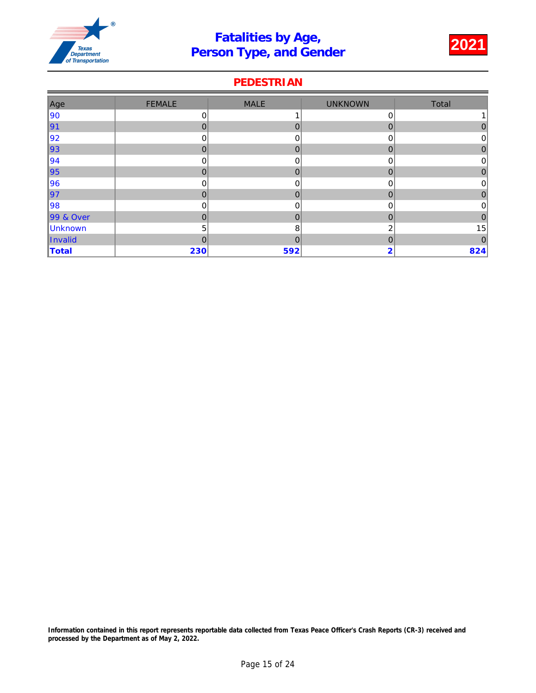

### PEDESTRIAN

| Age       | <b>FEMALE</b> | <b>MALE</b>  | <b>UNKNOWN</b> | Total          |
|-----------|---------------|--------------|----------------|----------------|
| 90        | 0             |              | 0              |                |
| ∥91       | $\mathbf 0$   | $\mathbf{0}$ | $\overline{0}$ | 0              |
| 92        | 0             | 0            | 0              | 0              |
| ∥93       | $\Omega$      | $\mathbf{0}$ | 0              | 0              |
| 94        | 0             | 0            | 0              | 0              |
| ∥95       | $\Omega$      | $\mathbf 0$  | 0              | 0              |
| 96        | 0             | 0            | 0              | 0              |
| ∥97       | $\Omega$      | $\mathbf 0$  | 0              | 0              |
| 98        | $\mathbf 0$   | 0            | 0              | $\overline{0}$ |
| 99 & Over | 0             | $\mathbf 0$  | $\mathbf 0$    | $\mathbf 0$    |
| Unknown   | 5             | 8            | 2              | 15             |
| Invalid   | 0             | $\mathbf 0$  | 0              | $\mathbf 0$    |
| Total     | 230           | 592          | 2              | 824            |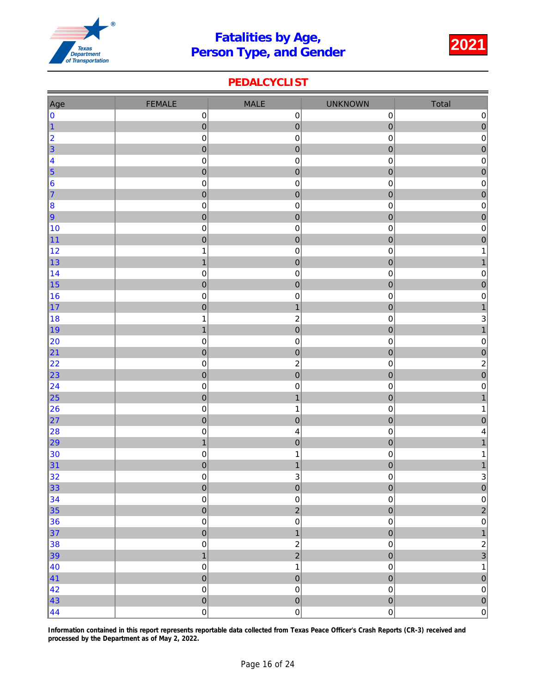

### PEDALCYCLIST

| Age                                         | <b>FEMALE</b>               | <b>MALE</b>               | <b>UNKNOWN</b>                | Total                                   |
|---------------------------------------------|-----------------------------|---------------------------|-------------------------------|-----------------------------------------|
| 0                                           | $\pmb{0}$                   | $\pmb{0}$                 | $\pmb{0}$                     | $\mathsf{O}\xspace$                     |
| $\vert$ 1                                   | $\pmb{0}$                   | $\mathbf 0$               | $\mathbf{0}$                  | $\overline{0}$                          |
| $\begin{array}{ c c }\n2 \\ 3\n\end{array}$ | $\pmb{0}$                   | $\pmb{0}$                 | $\pmb{0}$                     | $\overline{\textbf{0}}$                 |
|                                             | $\overline{0}$              | $\pmb{0}$                 | $\mathbf 0$                   | $\overline{0}$                          |
| $\vert 4$                                   | $\pmb{0}$                   | $\pmb{0}$                 | $\pmb{0}$                     | $\pmb{0}$                               |
| $\vert$ 5                                   | $\pmb{0}$                   | $\mathbf 0$               | $\pmb{0}$                     | $\mathbf{0}$                            |
| 6                                           | $\pmb{0}$                   | $\pmb{0}$                 | $\mathbf 0$                   | $\pmb{0}$                               |
| $\vert$ 7                                   | $\mathbf 0$                 | $\mathbf 0$               | $\mathbf 0$                   | $\overline{0}$                          |
| 8                                           | $\pmb{0}$                   | $\pmb{0}$                 | $\pmb{0}$                     | $\pmb{0}$                               |
| $\vert$ 9                                   | $\mathbf 0$                 | $\pmb{0}$                 | $\mathbf{0}$                  | $\begin{array}{c} 0 \\ 0 \end{array}$   |
| 10                                          | $\pmb{0}$                   | $\pmb{0}$                 | $\pmb{0}$                     |                                         |
| $\vert$ 11                                  | $\pmb{0}$                   | $\mathbf 0$               | $\mathbf 0$                   | $\begin{array}{c}\n0 \\ 1\n\end{array}$ |
| 12                                          | $\mathbf{1}$                | $\pmb{0}$                 | $\pmb{0}$                     |                                         |
| $\vert$ 13                                  | $\mathbf{1}$                | $\pmb{0}$                 | $\mathbf 0$                   | $\overline{1}$                          |
| $\vert$ 14<br>15                            | $\pmb{0}$                   | $\pmb{0}$<br>$\pmb{0}$    | $\pmb{0}$<br>$\mathbf 0$      | $\pmb{0}$<br>$\overline{0}$             |
| 16                                          | $\pmb{0}$<br>$\mathbf 0$    | $\pmb{0}$                 | $\pmb{0}$                     | $\mathbf 0$                             |
| $\vert$ 17                                  | $\overline{0}$              | $\mathbf{1}$              | $\mathbf 0$                   | $\overline{1}$                          |
| 18                                          | $\mathbf 1$                 | $\overline{c}$            | $\pmb{0}$                     |                                         |
| ∥19                                         | $\mathbf{1}$                | $\pmb{0}$                 | $\mathbf{0}$                  | $\begin{array}{c}\n3 \\ 1\n\end{array}$ |
| 20                                          | $\pmb{0}$                   | $\mathbf 0$               | $\mathbf 0$                   | $\pmb{0}$                               |
| $\vert$ 21                                  | $\pmb{0}$                   | $\mathbf 0$               | $\mathbf{0}$                  | $\mathbf{0}$                            |
| 22                                          | $\pmb{0}$                   | $\overline{c}$            | $\pmb{0}$                     |                                         |
| $\vert$ 23                                  | $\overline{0}$              | $\overline{0}$            | $\mathbf 0$                   | $\frac{2}{0}$                           |
| $\vert$ 24                                  | $\pmb{0}$                   | $\pmb{0}$                 | $\pmb{0}$                     | $\pmb{0}$                               |
| $\vert$ 25                                  | $\mathbf 0$                 | $\mathbf{1}$              | $\pmb{0}$                     | $\overline{1}$                          |
| 26                                          | $\pmb{0}$                   | $\mathbf 1$               | $\mathbf 0$                   | $\mathbf{1}$                            |
| $ _{27}$                                    | $\overline{0}$              | $\mathbf 0$               | $\overline{0}$                | $\overline{0}$                          |
| 28                                          | $\pmb{0}$                   | 4                         | $\pmb{0}$                     | $\overline{\mathbf{r}}$                 |
| $\vert$ 29                                  | $\mathbf{1}$                | $\pmb{0}$                 | $\mathbf{0}$                  | $\mathbf{1}$                            |
| 30                                          | $\mathbf 0$                 | $\mathbf 1$               | $\pmb{0}$                     | $\mathbf{1}$                            |
| 31                                          | $\mathbf 0$                 | $\mathbf{1}$              | $\mathbf{0}$                  | $\frac{1}{3}$                           |
| 32                                          | $\mathbf 0$                 | 3                         | $\mathsf 0$                   |                                         |
| 33                                          | $\pmb{0}$                   | $\pmb{0}$                 | $\mathbf{0}$                  | $\bf{0}$                                |
| 34                                          | $\pmb{0}$                   | $\pmb{0}$                 | $\mathbf 0$                   | $\overline{0}$                          |
| $\vert$ 35                                  | $\pmb{0}$                   | $\overline{c}$            | $\mathbf 0$                   | $\overline{\mathbf{c}}$                 |
| 36                                          | $\pmb{0}$<br>$\overline{0}$ | $\pmb{0}$<br>$\mathbf{1}$ | $\mathsf 0$<br>$\overline{0}$ | $\pmb{0}$<br>$\overline{1}$             |
| $\vert$ 37<br>38                            | $\pmb{0}$                   | $\overline{c}$            | $\mathbf 0$                   |                                         |
| $\vert$ 39                                  | $\mathbf{1}$                | $\overline{a}$            | $\mathbf 0$                   | $\frac{2}{3}$                           |
| 40                                          | $\mathbf 0$                 | $\mathbf 1$               | $\mathbf 0$                   | $\mathbf{1}$                            |
| $\vert 41 \vert$                            | $\pmb{0}$                   | $\overline{0}$            | $\overline{0}$                | $\mathbf{0}$                            |
| 42                                          | $\mathbf 0$                 | $\pmb{0}$                 | $\mathsf 0$                   | $\mathsf{O}\xspace$                     |
| $\vert 43 \vert$                            | $\overline{0}$              | $\overline{0}$            | $\mathbf 0$                   |                                         |
| $\vert 44 \vert$                            | 0                           | $\mathbf 0$               | 0                             | $\begin{array}{c}\n0 \\ 0\n\end{array}$ |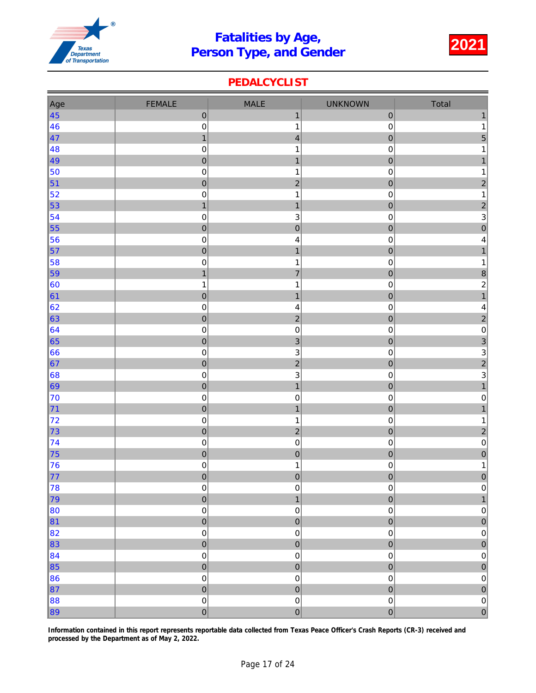

### PEDALCYCLIST

| Age              | <b>FEMALE</b>    | <b>MALE</b>             | <b>UNKNOWN</b>      | Total                                           |
|------------------|------------------|-------------------------|---------------------|-------------------------------------------------|
| $\vert 45 \vert$ | $\pmb{0}$        | $\mathbf{1}$            | $\pmb{0}$           | $\mathbf{1}$                                    |
| 46               | $\pmb{0}$        | $\mathbf{1}$            | $\pmb{0}$           | $\mathbf{1}$                                    |
| $\vert 47$       | $\mathbf{1}$     | $\overline{\mathbf{4}}$ | $\mathbf 0$         | 5                                               |
| 48               | $\boldsymbol{0}$ | 1                       | $\pmb{0}$           | $\mathbf{1}$                                    |
| 49               | $\pmb{0}$        | $\mathbf{1}$            | $\pmb{0}$           | $\mathbf{1}$                                    |
| 50               | $\pmb{0}$        | $\mathbf 1$             | $\pmb{0}$           | $\mathbf{1}$                                    |
| $\vert$ 51       | $\pmb{0}$        | $\overline{c}$          | $\pmb{0}$           | $\overline{c}$                                  |
| 52               | $\mathbf 0$      | $\mathbf 1$             | $\mathbf 0$         | $\mathbf{1}$                                    |
| $\vert$ 53       | $\mathbf{1}$     | $\mathbf{1}$            | $\pmb{0}$           | $\overline{c}$                                  |
| 54               | $\pmb{0}$        | $\mathsf 3$             | $\pmb{0}$           | $\frac{3}{0}$                                   |
| 55               | $\mathbf 0$      | $\overline{0}$          | $\mathbf 0$         |                                                 |
| 56               | $\pmb{0}$        | 4                       | $\pmb{0}$           | $\overline{\mathbf{4}}$                         |
| $\vert$ 57       | $\mathbf 0$      | $\mathbf{1}$            | $\mathbf 0$         | $\overline{1}$                                  |
| 58               | $\mathbf 0$      | $\mathbf 1$             | $\mathbf 0$         | $\mathbf{1}$                                    |
| $\vert$ 59       | $\mathbf{1}$     | $\overline{7}$          | $\mathbf 0$         | $\frac{8}{2}$                                   |
| 60               | $\mathbf{1}$     | $\mathbf{1}$            | $\pmb{0}$           |                                                 |
| 61               | $\pmb{0}$        | $\mathbf{1}$            | $\mathbf 0$         | $\overline{1}$                                  |
| 62               | $\mathbf 0$      | $\overline{\mathbf{4}}$ | $\pmb{0}$           | $\overline{\mathbf{4}}$                         |
| 63               | $\pmb{0}$        | $\overline{2}$          | $\pmb{0}$           | $\overline{2}$                                  |
| $\vert 64$       | $\pmb{0}$        | $\pmb{0}$               | $\mathbf 0$         | $\pmb{0}$                                       |
| 65               | $\mathbf 0$      | $\overline{3}$          | $\mathbf 0$         | $\overline{3}$                                  |
| 66               | $\pmb{0}$        | $\mathsf 3$             | $\pmb{0}$           |                                                 |
| 67               | $\pmb{0}$        | $\overline{a}$          | $\mathbf 0$         | $\begin{array}{c} 3 \\ 2 \\ 3 \\ 1 \end{array}$ |
| $\vert 68 \vert$ | $\pmb{0}$        | $\mathsf 3$             | $\pmb{0}$           |                                                 |
| $\vert$ 69       | $\pmb{0}$        | $\mathbf{1}$            | $\mathbf 0$         |                                                 |
| 70               | $\pmb{0}$        | $\pmb{0}$               | $\pmb{0}$           | $\mathbf 0$                                     |
| 71               | $\pmb{0}$        | $\mathbf{1}$            | $\mathbf 0$         | $\mathbf{1}$                                    |
| $\vert$ 72       | $\mathbf 0$      | $\mathbf{1}$            | $\pmb{0}$           | $\mathbf{1}$                                    |
| 73               | $\pmb{0}$        | $\overline{2}$          | $\mathbf 0$         | $\overline{2}$                                  |
| $\vert$ 74       | $\pmb{0}$        | $\pmb{0}$               | $\pmb{0}$           | $\overline{\text{o}}$                           |
| 75               | $\overline{0}$   | $\mathbf 0$             | $\mathbf 0$         | $\overline{0}$                                  |
| 76               | $\pmb{0}$        | $\mathbf 1$             | $\pmb{0}$           | $\mathbf{1}$                                    |
| $\vert$ 77       | $\mathbf 0$      | $\overline{0}$          | $\mathbf 0$         | $\overline{0}$                                  |
| 78               | $\pmb{0}$        | $\pmb{0}$               | $\mathbf 0$         | $\mathsf{O}\xspace$                             |
| 79               | $\pmb{0}$        | $\mathbf{1}$            | $\overline{0}$      | $\mathbf{1}$                                    |
| 80               | $\mathbf 0$      | $\pmb{0}$               | $\mathsf 0$         | $\pmb{0}$                                       |
| 81               | $\overline{0}$   | $\overline{0}$          | $\overline{0}$      | $\pmb{0}$                                       |
| 82               | $\mathbf 0$      | $\pmb{0}$               | $\mathsf 0$         | $\mathsf{O}\xspace$                             |
| $\vert$ 83       | $\pmb{0}$        | $\mathbf 0$             | $\mathbf 0$         | $\mathbf 0$                                     |
| $\vert$ 84       | $\mathbf 0$      | $\pmb{0}$               | $\mathbf 0$         | $\pmb{0}$                                       |
| $\vert$ 85       | $\overline{0}$   | $\overline{0}$          | $\pmb{0}$           | $\mathbf 0$                                     |
| 86               | $\pmb{0}$        | $\pmb{0}$               | $\mathsf 0$         | $\mathsf{O}\xspace$                             |
| 87               | $\overline{0}$   | $\overline{0}$          | $\overline{0}$      | $\overline{0}$                                  |
| 88               | $\mathbf 0$      | $\pmb{0}$               | $\mathsf{O}\xspace$ | $\pmb{0}$                                       |
| 89               | $\overline{0}$   | $\overline{0}$          | $\mathbf 0$         | $\overline{0}$                                  |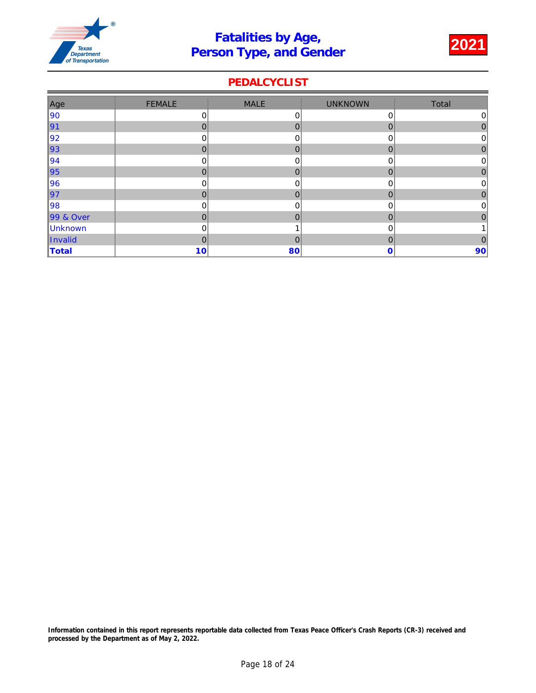

### PEDALCYCLIST

| Age        | <b>FEMALE</b> | <b>MALE</b>  | <b>UNKNOWN</b> | Total          |
|------------|---------------|--------------|----------------|----------------|
| 90         | 0             | 0            | 0              | $\overline{0}$ |
| $\vert$ 91 | $\Omega$      | $\mathbf 0$  | 0              | 0              |
| 92         | 0             | 0            | 0              | 0              |
| ∥93        | $\Omega$      | $\mathbf{0}$ | $\overline{0}$ | 0              |
| 94         | 0             | 0            | 0              | 0              |
| ∥95        | $\Omega$      | $\mathbf{0}$ | $\overline{0}$ | 0              |
| 96         | 0             | 0            | 0              | 0              |
| ∥97        | $\mathbf 0$   | $\mathbf 0$  | 0              | 0              |
| 98         | $\mathbf 0$   | 0            | 0              | $\overline{0}$ |
| 99 & Over  | $\mathbf{0}$  | $\mathbf 0$  | $\mathbf 0$    | 0              |
| Unknown    | $\mathbf 0$   |              | 0              |                |
| Invalid    | $\mathbf 0$   | $\mathbf{0}$ | 0              | 0              |
| Total      | 10            | 80           | 0              | 90             |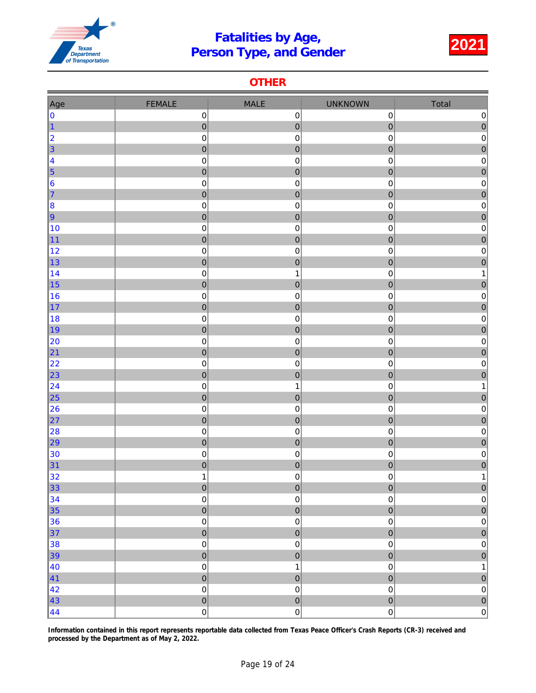

#### **OTHER**

| Age                                                         | <b>FEMALE</b>                       | <b>MALE</b>                                  | <b>UNKNOWN</b>                      | Total                                               |
|-------------------------------------------------------------|-------------------------------------|----------------------------------------------|-------------------------------------|-----------------------------------------------------|
| $\mathbf{0}$                                                | $\mathbf 0$                         | $\pmb{0}$                                    | $\mathbf 0$                         | $\pmb{0}$                                           |
| $\vert$ 1                                                   | $\mathbf 0$                         | $\mathbf 0$                                  | $\overline{0}$                      | $\mathbf 0$                                         |
| 2                                                           | $\pmb{0}$                           | $\pmb{0}$                                    | $\mbox{O}$                          | $\pmb{0}$                                           |
| $\vert$ 3                                                   | $\pmb{0}$                           | $\pmb{0}$                                    | $\overline{0}$                      | $\mathbf 0$                                         |
| $\begin{array}{ c c }\n\hline\n4 \\ \hline\n5\n\end{array}$ | $\pmb{0}$                           | $\pmb{0}$                                    | 0                                   | $\pmb{0}$                                           |
|                                                             | $\mathbf 0$                         | $\pmb{0}$                                    | $\mathbf 0$                         | $\mathbf{0}$                                        |
| $\vert 6 \vert$                                             | $\pmb{0}$                           | $\pmb{0}$                                    | 0                                   | $\mathbf 0$                                         |
| 17                                                          | $\mathbf 0$                         | $\pmb{0}$                                    | $\mathbf 0$                         | $\pmb{0}$                                           |
| 8                                                           | $\pmb{0}$                           | $\pmb{0}$                                    | $\mathbf 0$                         | $\mathbf 0$                                         |
| $\vert$ 9                                                   | $\overline{0}$                      | $\mathbf 0$                                  | $\overline{0}$                      | $\overline{0}$                                      |
| 10                                                          | $\pmb{0}$                           | $\pmb{0}$                                    | $\mathbf 0$                         | $\pmb{0}$                                           |
| $\vert$ 11                                                  | $\pmb{0}$                           | $\pmb{0}$                                    | $\pmb{0}$                           | $\mathbf{0}$                                        |
| 12                                                          | $\pmb{0}$                           | $\pmb{0}$                                    | 0                                   | $\mathbf 0$                                         |
| $\vert$ 13                                                  | $\mathbf 0$                         | $\mathbf 0$                                  | $\overline{0}$                      | $\overline{0}$                                      |
| $\vert$ 14                                                  | $\mathbf 0$                         | $\mathbf{1}$                                 | 0                                   | 1                                                   |
| $\vert$ 15                                                  | $\mathbf 0$                         | $\mathbf 0$                                  | $\mathbf 0$                         | $\pmb{0}$                                           |
| 16                                                          | $\pmb{0}$                           | $\pmb{0}$                                    | 0                                   | $\pmb{0}$                                           |
| $\vert$ 17                                                  | $\pmb{0}$                           | $\mathbf 0$<br>$\pmb{0}$                     | $\pmb{0}$                           | $\pmb{0}$                                           |
| 18<br>∥19                                                   | $\pmb{0}$<br>$\mathbf 0$            | $\pmb{0}$                                    | 0<br>$\overline{0}$                 | $\mathbf 0$<br>$\overline{0}$                       |
| 20                                                          | $\pmb{0}$                           | $\mathbf 0$                                  | 0                                   | $\pmb{0}$                                           |
| 21                                                          | $\mathbf 0$                         | $\mathbf 0$                                  | $\mathbf 0$                         | $\overline{0}$                                      |
| 22                                                          | $\pmb{0}$                           | $\pmb{0}$                                    | $\mathbf 0$                         | $\pmb{0}$                                           |
| $\vert$ 23                                                  | $\mathbf 0$                         | $\mathbf 0$                                  | $\overline{0}$                      | $\overline{0}$                                      |
| 24                                                          | $\pmb{0}$                           | $\mathbf 1$                                  | 0                                   | 1                                                   |
| $\vert$ 25                                                  | $\mathbf 0$                         | $\mathbf 0$                                  | $\mathbf 0$                         | $\mathbf{0}$                                        |
| 26                                                          | $\pmb{0}$                           | $\pmb{0}$                                    | 0                                   | $\mathbf 0$                                         |
| 27                                                          | $\pmb{0}$                           | $\mathbf 0$                                  | $\mathbf 0$                         | $\mathbf 0$                                         |
| 28                                                          | $\mathbf 0$                         | $\pmb{0}$                                    | $\mathbf 0$                         | $\pmb{0}$                                           |
| 29                                                          | $\overline{0}$                      | $\pmb{0}$                                    | $\overline{0}$                      | $\overline{0}$                                      |
| 30                                                          | $\pmb{0}$                           | $\pmb{0}$                                    | $\mathbf 0$                         | $\pmb{0}$                                           |
| $\vert$ 31                                                  | $\pmb{0}$                           | $\pmb{0}$                                    | $\mathbf 0$                         | $\mathbf{0}$                                        |
| 32                                                          | $\mathbf 1$                         | $\mathbf 0$                                  | $\mathsf 0$                         | 1                                                   |
| 33                                                          | $\pmb{0}$                           | $\pmb{0}$                                    | $\mathbf{0}$                        | $\bf{0}$                                            |
| 34                                                          | $\mathsf{O}\xspace$                 | $\mathbf 0$                                  | $\mathsf 0$                         | $\pmb{0}$                                           |
| $\vert$ 35                                                  | $\mathbf 0$                         | $\overline{0}$                               | $\overline{0}$                      | $\overline{0}$                                      |
| 36                                                          | $\mathbf 0$                         | $\mathbf 0$                                  | $\mathsf 0$                         | $\pmb{0}$                                           |
| $\vert$ 37                                                  | $\mathbf 0$                         | $\pmb{0}$                                    | $\mathbf 0$                         | $\mathbf 0$                                         |
| 38                                                          | $\pmb{0}$                           | $\pmb{0}$                                    | $\mathbf 0$                         | $\mathbf 0$                                         |
| $\vert$ 39                                                  | $\overline{0}$                      | $\overline{0}$                               | $\overline{0}$                      | $\mathbf{0}$                                        |
| $\vert$ 40                                                  | $\pmb{0}$                           | $\mathbf 1$                                  | $\pmb{0}$                           | $\mathbf 1$                                         |
| $\vert 41 \vert$                                            | $\overline{0}$                      | $\pmb{0}$                                    | $\overline{0}$                      | $\mathbf{0}$                                        |
|                                                             |                                     |                                              |                                     |                                                     |
|                                                             |                                     |                                              |                                     |                                                     |
| 42 <br>$\vert 43 \vert$<br>$\vert 44 \vert$                 | $\mathbf 0$<br>$\overline{0}$<br> 0 | $\mathbf 0$<br>$\overline{0}$<br>$\mathbf 0$ | $\mathbf 0$<br>$\overline{0}$<br> 0 | $\pmb{0}$<br>$\begin{bmatrix} 0 \\ 0 \end{bmatrix}$ |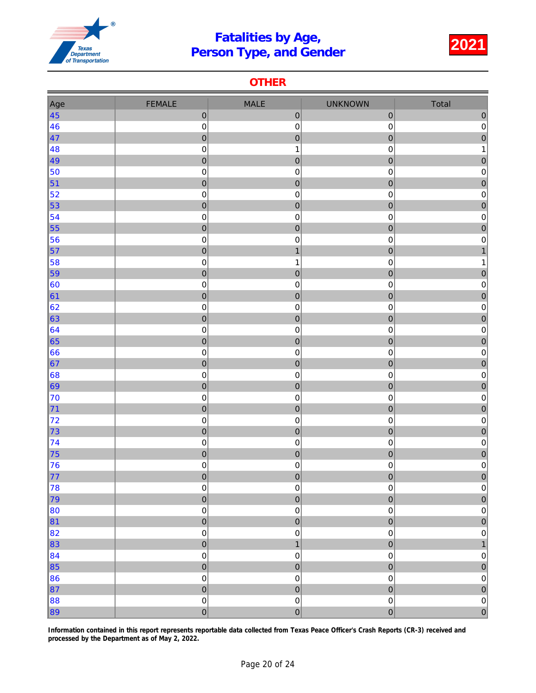

#### **OTHER**

| Age              | <b>FEMALE</b>            | <b>MALE</b>            | <b>UNKNOWN</b> | Total                       |
|------------------|--------------------------|------------------------|----------------|-----------------------------|
| $\vert 45 \vert$ | $\mathbf{0}$             | $\pmb{0}$              | $\pmb{0}$      | $\pmb{0}$                   |
| 46               | $\mathbf 0$              | $\pmb{0}$              | 0              | $\pmb{0}$                   |
| $\vert 47$       | $\mathbf{0}$             | $\mathbf 0$            | $\pmb{0}$      | $\overline{0}$              |
| 48               | $\pmb{0}$                | $\mathbf{1}$           | $\mathbf 0$    | 1                           |
| 49               | $\mathbf{0}$             | $\pmb{0}$              | $\pmb{0}$      | $\pmb{0}$                   |
| 50               | $\mathbf 0$              | $\pmb{0}$              | 0              | $\pmb{0}$                   |
| $\vert$ 51       | $\mathbf{0}$             | $\boldsymbol{0}$       | $\pmb{0}$      | $\mathbf{0}$                |
| 52               | $\mathbf 0$              | $\mathbf 0$            | $\mathbf 0$    | $\pmb{0}$                   |
| $\vert$ 53       | $\mathbf{0}$             | $\pmb{0}$              | $\pmb{0}$      | $\mathbf 0$                 |
| $\vert$ 54       | $\pmb{0}$                | $\mathbf 0$            | $\pmb{0}$      | $\pmb{0}$                   |
| $\vert$ 55       | $\mathbf 0$              | $\pmb{0}$              | $\mathbf 0$    | $\overline{0}$              |
| 56               | $\pmb{0}$                | $\pmb{0}$              | 0              | $\mathbf 0$                 |
| $\vert$ 57       | $\mathbf 0$              | $\mathbf{1}$           | $\mathbf 0$    | $\mathbf{1}$                |
| 58               | $\pmb{0}$                | 1                      | 0              | 1                           |
| $\vert$ 59       | $\mathbf{0}$             | $\mathbf 0$            | $\pmb{0}$      | $\mathbf{0}$                |
| $\vert$ 60       | $\mathbf 0$              | $\pmb{0}$              | $\mathbf 0$    | $\mathbf 0$                 |
| $\vert 61 \vert$ | $\mathbf{0}$             | $\mathbf{0}$           | $\pmb{0}$      | $\mathbf{0}$                |
| 62               | $\boldsymbol{0}$         | $\pmb{0}$              | $\pmb{0}$      | $\pmb{0}$                   |
| $\vert$ 63       | $\mathbf{0}$             | $\pmb{0}$              | $\pmb{0}$      | $\pmb{0}$                   |
| $\vert 64$       | $\pmb{0}$                | $\mathbf 0$            | 0              | $\mathbf 0$                 |
| $\vert$ 65       | $\mathbf 0$              | $\boldsymbol{0}$       | $\mathbf 0$    | $\overline{0}$              |
| $\vert 66$       | $\pmb{0}$                | $\pmb{0}$              | 0              | $\pmb{0}$                   |
| 67               | $\mathbf{0}$             | $\pmb{0}$              | $\pmb{0}$      | $\overline{0}$              |
| $\vert$ 68       | $\mathbf 0$              | $\pmb{0}$              | $\mathbf 0$    | $\pmb{0}$                   |
| $\vert$ 69       | $\mathbf{0}$             | $\mathbf 0$            | $\pmb{0}$      | $\mathbf{0}$                |
| 70               | $\mathbf 0$              | $\pmb{0}$              | 0              | $\mathbf 0$                 |
| $\vert$ 71       | $\mathbf{0}$             | $\mathbf{0}$           | $\mathbf 0$    | $\mathbf{0}$                |
| 72               | $\boldsymbol{0}$         | $\mathbf 0$            | $\mathbf 0$    | $\pmb{0}$                   |
| $\vert$ 73       | $\mathbf{0}$             | $\pmb{0}$              | $\pmb{0}$      | $\mathbf 0$                 |
| $\vert$ 74<br>75 | $\boldsymbol{0}$         | $\mathbf 0$            | $\pmb{0}$      | $\pmb{0}$<br>$\overline{0}$ |
|                  | $\mathbf 0$              | $\pmb{0}$<br>$\pmb{0}$ | $\pmb{0}$      |                             |
| 76<br>$\vert 77$ | $\pmb{0}$<br>$\mathbf 0$ | $\mathbf 0$            | 0<br>$\pmb{0}$ | $\pmb{0}$<br>$\mathbf 0$    |
| 78               | $\pmb{0}$                | $\pmb{0}$              | $\pmb{0}$      | $\mathsf 0$                 |
| 79               | $\mathbf 0$              | $\mathbf 0$            | $\overline{0}$ | $\mathbf{0}$                |
| $\vert$ 80       | $\pmb{0}$                | $\mathbf 0$            | $\mathbf 0$    | $\pmb{0}$                   |
| $\vert$ 81       | $\mathbf{0}$             | $\mathbf 0$            | $\overline{0}$ | $\overline{0}$              |
| $\vert$ 82       | $\pmb{0}$                | $\mathbf 0$            | $\mathbf 0$    | $\pmb{0}$                   |
| $\vert$ 83       | $\mathbf 0$              | $\mathbf{1}$           | $\pmb{0}$      | $\mathbf{1}$                |
| $\vert$ 84       | $\pmb{0}$                | $\pmb{0}$              | $\pmb{0}$      | $\mathbf 0$                 |
| $\vert$ 85       | $\overline{0}$           | $\mathbf 0$            | $\overline{0}$ | $\mathbf{0}$                |
| 86               | $\pmb{0}$                | $\pmb{0}$              | $\pmb{0}$      | $\pmb{0}$                   |
| $\vert$ 87       | $\overline{0}$           | $\overline{0}$         | $\overline{0}$ | $\overline{0}$              |
| $\ 88$           | $\mathbf 0$              | $\mathbf 0$            | $\pmb{0}$      | $\mathbf 0$                 |
| 89               | $\overline{0}$           | $\pmb{0}$              | $\overline{0}$ | $\overline{0}$              |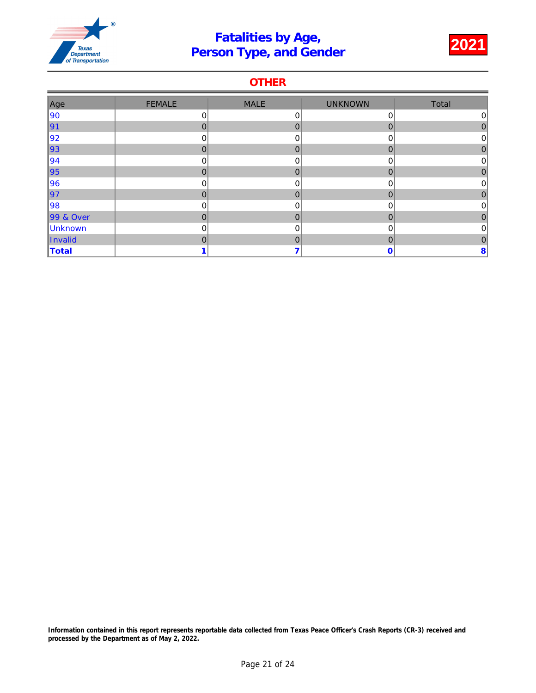

### **OTHER**

| Age       | <b>FEMALE</b>  | <b>MALE</b>    | <b>UNKNOWN</b> | Total          |
|-----------|----------------|----------------|----------------|----------------|
| ∥90       | 0              | 0              | 0              | $\overline{0}$ |
| 91        | $\mathbf 0$    | $\mathbf 0$    | 0              | 0              |
| 92        | 0              | 0              | 0              | 0              |
| ∥93       | $\mathbf 0$    | $\overline{0}$ | 0              | 0              |
| ∥94       | 0              | 0              | 0              | 0              |
| ∥95       | $\Omega$       | $\overline{0}$ | 0              | 0              |
| 96        | 0              | 0              | 0              | 0              |
| ∥97       | $\overline{0}$ | $\overline{0}$ | 0              | $\Omega$       |
| 98        | 0              | $\mathbf 0$    | 0              | 0              |
| 99 & Over | $\mathbf 0$    | $\mathbf 0$    | 0              | $\mathbf{0}$   |
| Unknown   | 0              | $\mathbf 0$    | 0              | 0              |
| Invalid   | $\mathbf 0$    | $\mathbf 0$    | 0              | 0              |
| Total     |                | 7              | 0              | 8              |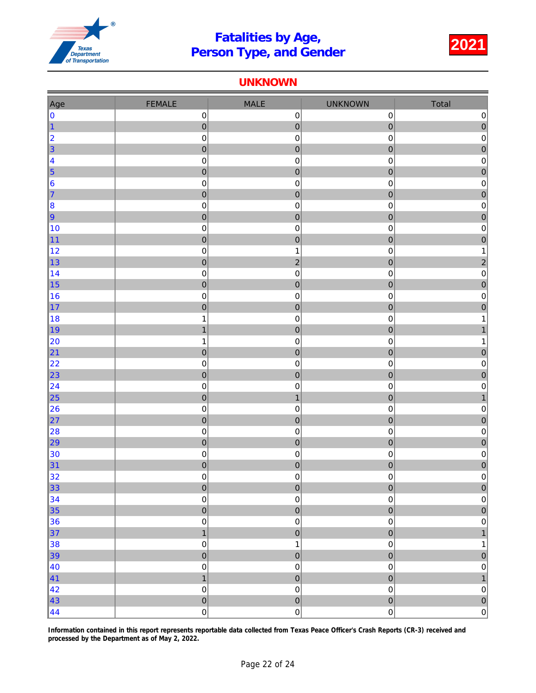

#### UNKNOWN

| Age                    | <b>FEMALE</b>                 | MALE                          | <b>UNKNOWN</b>           | Total                       |
|------------------------|-------------------------------|-------------------------------|--------------------------|-----------------------------|
| 0                      | $\boldsymbol{0}$              | $\pmb{0}$                     | $\mathbf 0$              | $\pmb{0}$                   |
| $\vert$ 1              | $\mathbf{0}$                  | $\pmb{0}$                     | $\pmb{0}$                | $\mathbf 0$                 |
| 2                      | $\boldsymbol{0}$              | $\mathbf 0$                   | $\mathbf 0$              | $\pmb{0}$                   |
| $\vert$ 3              | $\mathbf 0$                   | $\pmb{0}$                     | $\mathbf 0$              | $\overline{0}$              |
| 4                      | $\mathbf 0$                   | $\pmb{0}$                     | $\mbox{O}$               | $\pmb{0}$                   |
| $\vert$ 5              | $\mathbf{0}$                  | $\pmb{0}$                     | $\mathbf 0$              | $\mathbf{0}$                |
| 6                      | $\pmb{0}$                     | $\mathbf 0$                   | 0                        | $\pmb{0}$                   |
| 7                      | $\mathbf{0}$                  | $\boldsymbol{0}$              | $\mathbf 0$              | $\mathbf 0$                 |
| 8                      | $\mathbf 0$                   | $\pmb{0}$                     | $\mathbf 0$              | $\pmb{0}$                   |
| $\vert$ 9              | $\mathbf{0}$                  | $\mathbf 0$                   | $\mathbf 0$              | $\mathbf 0$                 |
| 10                     | $\mathbf 0$                   | $\pmb{0}$                     | $\pmb{0}$                | $\pmb{0}$                   |
| $\vert$ 11             | $\mathbf{0}$                  | $\pmb{0}$                     | $\pmb{0}$                | $\mathbf 0$                 |
| 12                     | $\pmb{0}$                     | 1                             | 0                        | $\mathbf 1$                 |
| ∥13                    | $\overline{0}$                | $\overline{2}$                | $\mathbf 0$              | $\overline{a}$              |
| 14                     | $\mathbf 0$                   | $\pmb{0}$                     | $\mathbf 0$              | $\pmb{0}$                   |
| $\vert$ 15             | $\mathbf{0}$                  | $\boldsymbol{0}$              | $\mathbf 0$              | $\overline{0}$              |
| 16<br>$\vert$ 17       | $\pmb{0}$                     | $\pmb{0}$                     | $\mathbf 0$              | $\pmb{0}$                   |
| 18                     | $\mathbf{0}$<br>$\mathbf 1$   | $\pmb{0}$<br>$\pmb{0}$        | $\pmb{0}$<br>$\pmb{0}$   | $\pmb{0}$<br>1              |
| ∥19                    | $\mathbf{1}$                  | $\boldsymbol{0}$              | $\mathbf 0$              | $\mathbf{1}$                |
| 20                     | $\mathbf 1$                   | $\mathbf 0$                   | 0                        | 1                           |
| $\vert$ 21             | $\mathbf{0}$                  | $\pmb{0}$                     | $\pmb{0}$                | $\pmb{0}$                   |
| 22                     | $\mathbf 0$                   | $\mathbf 0$                   | $\mathbf 0$              | $\pmb{0}$                   |
| $\ $ 23                | $\overline{0}$                | $\mathbf 0$                   | $\mathbf 0$              | $\overline{0}$              |
| $\vert$ 24             | $\mathbf 0$                   | $\pmb{0}$                     | $\mathbf 0$              | $\pmb{0}$                   |
| $\vert$ 25             | $\mathbf{0}$                  | $\overline{1}$                | $\mathbf 0$              | $\mathbf{1}$                |
| 26                     | $\pmb{0}$                     | $\mathbf 0$                   | $\mathbf 0$              | $\mathbf 0$                 |
| $\vert$ 27             | $\mathbf{0}$                  | $\mathbf{0}$                  | $\pmb{0}$                | $\mathbf{0}$                |
| 28                     | $\mathbf 0$                   | $\pmb{0}$                     | $\mathbf 0$              | $\pmb{0}$                   |
| $\vert$ 29             | $\mathbf{0}$                  | $\mathbf{0}$                  | $\mathbf 0$              | $\mathbf 0$                 |
| 30                     | $\boldsymbol{0}$              | $\pmb{0}$                     | $\mathbf 0$              | $\pmb{0}$                   |
| 31                     | $\mathbf{0}$                  | $\pmb{0}$                     | $\pmb{0}$                | $\pmb{0}$                   |
| 32                     | $\boldsymbol{0}$              | $\pmb{0}$                     | 0                        | $\mathbf 0$                 |
| $\vert$ 33             | $\pmb{0}$                     | $\mathbf 0$                   | $\pmb{0}$                | $\bf{0}$                    |
| 34                     | $\pmb{0}$                     | $\mathbf 0$                   | $\pmb{0}$                | $\pmb{0}$                   |
| $\vert$ 35             | $\mathbf{0}$                  | $\overline{0}$                | $\mathbf 0$              | $\mathbf 0$                 |
| 36                     | $\pmb{0}$                     | $\mathbf 0$                   | $\mathbf 0$              | $\mathbf 0$                 |
| $\vert$ 37             | $\mathbf{1}$                  | $\pmb{0}$                     | $\overline{0}$           | $\mathbf{1}$                |
| 38                     | $\mathbf 0$                   | $\mathbf{1}$                  | $\mathbf 0$              | 1                           |
| $\vert$ 39             | $\overline{0}$                | $\pmb{0}$                     | $\overline{0}$           | $\mathbf 0$                 |
| 40<br>$\vert 41 \vert$ | $\mathbf 0$<br>$\overline{1}$ | $\mathbf 0$<br>$\overline{0}$ | $\mathbf 0$<br>$\pmb{0}$ | $\mathbf 0$<br>$\mathbf{1}$ |
| 42                     | $\mathbf 0$                   | $\pmb{0}$                     | $\mathsf 0$              | $\pmb{0}$                   |
| 43                     | $\overline{0}$                | $\overline{0}$                | $\overline{0}$           | $\overline{0}$              |
| $\vert 44$             | $\mathsf{O}\xspace$           | $\mathsf{O}\xspace$           | $\mathsf{O}\xspace$      | $\overline{0}$              |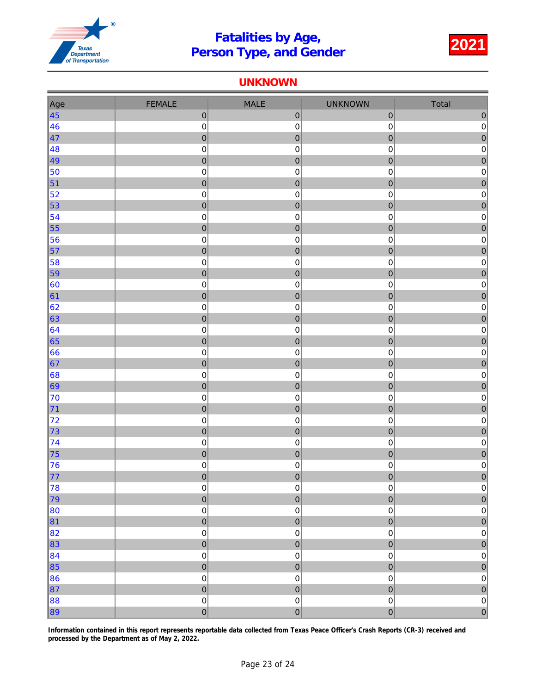

#### UNKNOWN

| Age                      | <b>FEMALE</b>            | MALE                   | <b>UNKNOWN</b>   | Total                       |
|--------------------------|--------------------------|------------------------|------------------|-----------------------------|
| $\vert 45 \vert$         | $\mathbf 0$              | $\boldsymbol{0}$       | $\pmb{0}$        | $\pmb{0}$                   |
| 46                       | $\mathbf 0$              | $\pmb{0}$              | $\mathbf 0$      | $\pmb{0}$                   |
| $\vert 47 \vert$         | $\mathbf{0}$             | $\boldsymbol{0}$       | $\mathbf 0$      | $\mathbf{0}$                |
| 48                       | $\boldsymbol{0}$         | $\pmb{0}$              | 0                | $\pmb{0}$                   |
| 49                       | $\mathbf{0}$             | $\pmb{0}$              | $\pmb{0}$        | $\pmb{0}$                   |
| 50                       | $\pmb{0}$                | $\mathbf 0$            | $\boldsymbol{0}$ | $\pmb{0}$                   |
| $\vert$ 51               | $\mathbf 0$              | $\mathbf{0}$           | $\pmb{0}$        | $\mathbf{0}$                |
| 52                       | $\mathbf 0$              | $\pmb{0}$              | 0                | $\pmb{0}$                   |
| $\vert$ 53               | $\mathbf{0}$             | $\pmb{0}$              | $\pmb{0}$        | $\overline{0}$              |
| $\vert$ 54               | $\mathbf 0$              | $\pmb{0}$              | $\mathbf 0$      | $\pmb{0}$                   |
| $\vert$ 55               | $\mathbf{0}$             | $\pmb{0}$              | $\mathbf 0$      | $\overline{0}$              |
| 56                       | $\mathbf 0$              | $\pmb{0}$              | 0                | $\mathbf 0$                 |
| $\vert$ 57               | $\mathbf{0}$             | $\mathbf{0}$           | $\mathbf 0$      | $\overline{0}$              |
| 58                       | $\pmb{0}$                | $\mathbf 0$            | $\mathbf 0$      | $\mathbf 0$                 |
| $\vert$ 59               | $\mathbf{0}$             | $\boldsymbol{0}$       | $\pmb{0}$        | $\mathbf 0$                 |
| $\vert$ 60               | $\mathbf 0$              | $\pmb{0}$              | $\mathbf 0$      | $\pmb{0}$                   |
| $\vert 61 \vert$         | $\mathbf 0$              | $\pmb{0}$              | $\mathbf 0$      | $\overline{0}$              |
| 62                       | $\boldsymbol{0}$         | $\pmb{0}$              | $\pmb{0}$        | $\pmb{0}$                   |
| $\vert$ 63               | $\mathbf 0$              | $\mathbf 0$            | $\pmb{0}$        | $\mathbf{0}$                |
| 64                       | $\pmb{0}$                | $\mathbf 0$            | 0                | $\pmb{0}$                   |
| $\vert$ 65               | $\mathbf 0$              | $\mathbf 0$            | $\overline{0}$   | $\mathbf 0$                 |
| $\vert$ 66               | $\mathbf 0$              | $\pmb{0}$              | $\mathbf 0$      | $\pmb{0}$                   |
| $\vert 67$               | $\mathbf{0}$             | $\mathbf{0}$           | $\mathbf 0$      | $\overline{0}$              |
| $\vert$ 68               | $\mathbf 0$              | $\pmb{0}$              | 0                | $\pmb{0}$                   |
| $\vert$ 69               | $\mathbf{0}$             | $\pmb{0}$              | $\pmb{0}$        | $\mathbf 0$                 |
| 70                       | $\mathbf 0$              | $\mathbf 0$            | $\mbox{O}$       | $\mathbf 0$                 |
| $\vert$ 71               | $\mathbf 0$              | $\mathbf 0$            | $\mathbf 0$      | $\mathbf{0}$                |
| 72                       | $\mathbf 0$              | $\pmb{0}$              | 0                | $\pmb{0}$                   |
| 73                       | $\mathbf 0$              | $\pmb{0}$              | $\pmb{0}$        | $\mathbf 0$                 |
| $\vert$ 74<br>$\vert$ 75 | $\mathbf 0$              | $\pmb{0}$              | $\mathbf 0$      | $\pmb{0}$<br>$\overline{0}$ |
| 76                       | $\mathbf 0$              | $\pmb{0}$<br>$\pmb{0}$ | $\mathbf 0$      | $\pmb{0}$                   |
| $\vert$ 77               | $\pmb{0}$<br>$\mathbf 0$ | $\pmb{0}$              | 0<br>0           | $\mathbf{0}$                |
| 78                       | $\pmb{0}$                | $\pmb{0}$              | $\pmb{0}$        | $\pmb{0}$                   |
| 79                       | $\mathbf 0$              | $\pmb{0}$              | $\mathbf 0$      | $\mathbf 0$                 |
| $\vert$ 80               | $\mathbf 0$              | $\mathbf 0$            | $\mathsf 0$      | $\pmb{0}$                   |
| $\vert$ 81               | $\overline{0}$           | $\overline{0}$         | $\overline{0}$   | $\overline{0}$              |
| $\vert$ 82               | $\mathbf 0$              | $\pmb{0}$              | $\pmb{0}$        | $\pmb{0}$                   |
| $\vert$ 83               | $\mathbf 0$              | $\mathbf 0$            | $\overline{0}$   | $\mathbf 0$                 |
| $\vert$ 84               | $\pmb{0}$                | $\pmb{0}$              | $\pmb{0}$        | $\pmb{0}$                   |
| $\vert$ 85               | $\overline{0}$           | $\overline{0}$         | $\overline{0}$   | $\overline{0}$              |
| $\vert$ 86               | $\pmb{0}$                | $\mathbf 0$            | $\mathsf 0$      | $\pmb{0}$                   |
| $\vert$ 87               | $\overline{0}$           | $\overline{0}$         | $\overline{0}$   | $\overline{0}$              |
| 88                       | $\mathbf 0$              | $\mathsf{O}\xspace$    | $\mathbf 0$      | $\pmb{0}$                   |
| $\ 89\ $                 | $\overline{0}$           | $\pmb{0}$              | $\overline{0}$   | $\overline{0}$              |